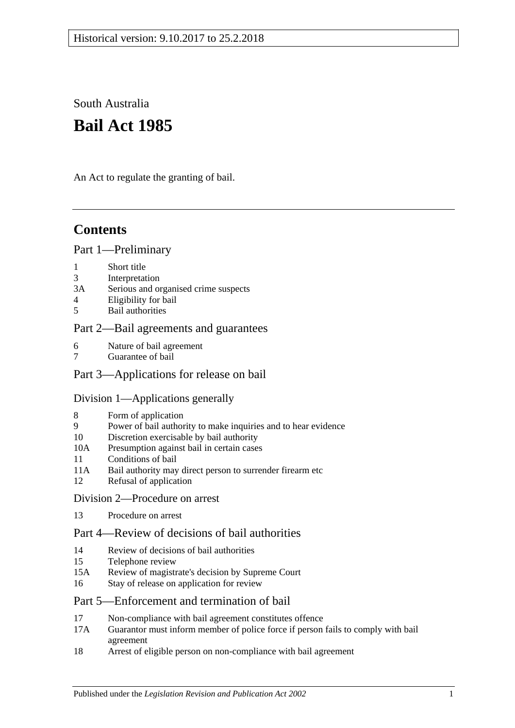South Australia

# **Bail Act 1985**

An Act to regulate the granting of bail.

# **Contents**

### [Part 1—Preliminary](#page-1-0)

- 1 [Short title](#page-1-1)
- 3 [Interpretation](#page-1-2)
- 3A [Serious and organised crime suspects](#page-3-0)
- 4 [Eligibility for bail](#page-3-1)
- 5 [Bail authorities](#page-4-0)

# [Part 2—Bail agreements and guarantees](#page-5-0)

- 6 [Nature of bail agreement](#page-5-1)
- 7 [Guarantee of bail](#page-6-0)

# [Part 3—Applications for release on bail](#page-7-0)

#### [Division 1—Applications generally](#page-7-1)

- 8 [Form of application](#page-7-2)
- 9 [Power of bail authority to make inquiries and to hear evidence](#page-7-3)
- 10 [Discretion exercisable by bail authority](#page-8-0)
- 10A [Presumption against bail in certain cases](#page-8-1)
- 11 [Conditions of bail](#page-10-0)
- 11A [Bail authority may direct person to surrender firearm etc](#page-14-0)
- 12 [Refusal of application](#page-14-1)
- [Division 2—Procedure on arrest](#page-14-2)
- 13 [Procedure on arrest](#page-14-3)

### [Part 4—Review of decisions of bail authorities](#page-15-0)

- 14 [Review of decisions of bail authorities](#page-15-1)
- 15 [Telephone review](#page-16-0)
- 15A Review of magistrate's [decision by Supreme Court](#page-18-0)
- 16 [Stay of release on application for review](#page-18-1)

#### [Part 5—Enforcement and termination of bail](#page-19-0)

- 17 [Non-compliance with bail agreement constitutes offence](#page-19-1)
- 17A [Guarantor must inform member of police force if person fails to comply with bail](#page-19-2)  [agreement](#page-19-2)
- 18 [Arrest of eligible person on non-compliance with bail agreement](#page-19-3)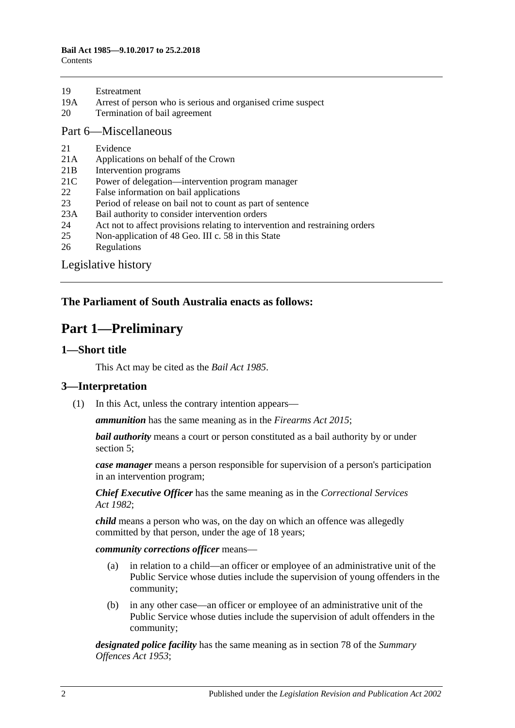- 19A [Arrest of person who is serious and organised crime suspect](#page-20-1)
- 20 [Termination of bail agreement](#page-20-2)

#### [Part 6—Miscellaneous](#page-20-3)

- 21 [Evidence](#page-20-4)
- 21A [Applications on behalf of the Crown](#page-21-0)
- 21B [Intervention programs](#page-21-1)
- 21C [Power of delegation—intervention program manager](#page-22-0)
- 22 [False information on bail applications](#page-22-1)
- 23 [Period of release on bail not to count as part of sentence](#page-22-2)
- 23A [Bail authority to consider intervention orders](#page-22-3)
- 24 [Act not to affect provisions relating to intervention and restraining orders](#page-23-0)
- 25 [Non-application of 48 Geo. III c. 58 in this State](#page-23-1)
- 26 [Regulations](#page-23-2)

[Legislative history](#page-24-0)

# <span id="page-1-0"></span>**The Parliament of South Australia enacts as follows:**

# **Part 1—Preliminary**

#### <span id="page-1-1"></span>**1—Short title**

This Act may be cited as the *Bail Act 1985*.

#### <span id="page-1-2"></span>**3—Interpretation**

(1) In this Act, unless the contrary intention appears—

*ammunition* has the same meaning as in the *[Firearms Act](http://www.legislation.sa.gov.au/index.aspx?action=legref&type=act&legtitle=Firearms%20Act%202015) 2015*;

*bail authority* means a court or person constituted as a bail authority by or under [section](#page-4-0) 5;

*case manager* means a person responsible for supervision of a person's participation in an intervention program;

*Chief Executive Officer* has the same meaning as in the *[Correctional Services](http://www.legislation.sa.gov.au/index.aspx?action=legref&type=act&legtitle=Correctional%20Services%20Act%201982)  Act [1982](http://www.legislation.sa.gov.au/index.aspx?action=legref&type=act&legtitle=Correctional%20Services%20Act%201982)*;

*child* means a person who was, on the day on which an offence was allegedly committed by that person, under the age of 18 years;

*community corrections officer* means—

- (a) in relation to a child—an officer or employee of an administrative unit of the Public Service whose duties include the supervision of young offenders in the community;
- (b) in any other case—an officer or employee of an administrative unit of the Public Service whose duties include the supervision of adult offenders in the community;

*designated police facility* has the same meaning as in section 78 of the *[Summary](http://www.legislation.sa.gov.au/index.aspx?action=legref&type=act&legtitle=Summary%20Offences%20Act%201953)  [Offences Act](http://www.legislation.sa.gov.au/index.aspx?action=legref&type=act&legtitle=Summary%20Offences%20Act%201953) 1953*;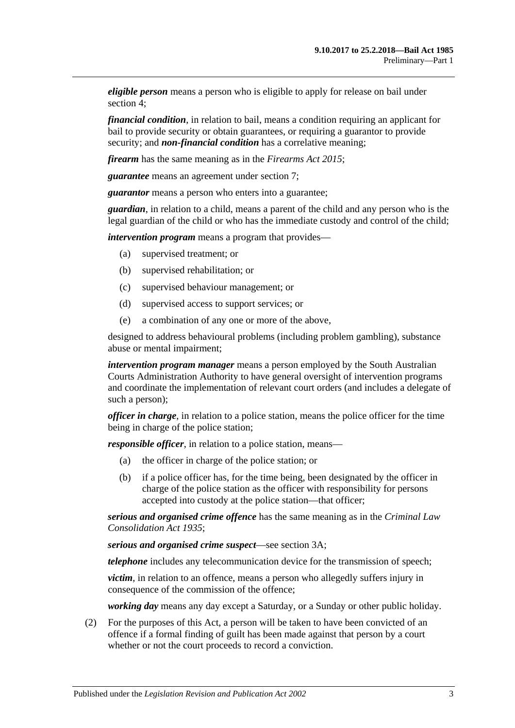*eligible person* means a person who is eligible to apply for release on bail under [section](#page-3-1) 4;

*financial condition*, in relation to bail, means a condition requiring an applicant for bail to provide security or obtain guarantees, or requiring a guarantor to provide security; and *non-financial condition* has a correlative meaning;

*firearm* has the same meaning as in the *[Firearms Act](http://www.legislation.sa.gov.au/index.aspx?action=legref&type=act&legtitle=Firearms%20Act%202015) 2015*;

*guarantee* means an agreement under [section](#page-6-0) 7;

*guarantor* means a person who enters into a guarantee;

*guardian*, in relation to a child, means a parent of the child and any person who is the legal guardian of the child or who has the immediate custody and control of the child;

*intervention program* means a program that provides—

- (a) supervised treatment; or
- (b) supervised rehabilitation; or
- (c) supervised behaviour management; or
- (d) supervised access to support services; or
- (e) a combination of any one or more of the above,

designed to address behavioural problems (including problem gambling), substance abuse or mental impairment;

*intervention program manager* means a person employed by the South Australian Courts Administration Authority to have general oversight of intervention programs and coordinate the implementation of relevant court orders (and includes a delegate of such a person);

*officer in charge*, in relation to a police station, means the police officer for the time being in charge of the police station;

*responsible officer*, in relation to a police station, means—

- (a) the officer in charge of the police station; or
- (b) if a police officer has, for the time being, been designated by the officer in charge of the police station as the officer with responsibility for persons accepted into custody at the police station—that officer;

*serious and organised crime offence* has the same meaning as in the *[Criminal Law](http://www.legislation.sa.gov.au/index.aspx?action=legref&type=act&legtitle=Criminal%20Law%20Consolidation%20Act%201935)  [Consolidation Act](http://www.legislation.sa.gov.au/index.aspx?action=legref&type=act&legtitle=Criminal%20Law%20Consolidation%20Act%201935) 1935*;

*serious and organised crime suspect*—see [section](#page-3-0) 3A;

*telephone* includes any telecommunication device for the transmission of speech;

*victim*, in relation to an offence, means a person who allegedly suffers injury in consequence of the commission of the offence;

*working day* means any day except a Saturday, or a Sunday or other public holiday.

(2) For the purposes of this Act, a person will be taken to have been convicted of an offence if a formal finding of guilt has been made against that person by a court whether or not the court proceeds to record a conviction.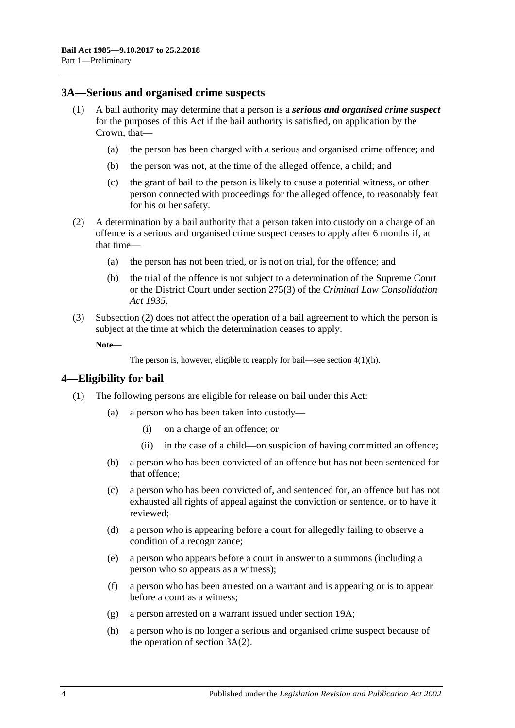#### <span id="page-3-0"></span>**3A—Serious and organised crime suspects**

- <span id="page-3-5"></span><span id="page-3-4"></span>(1) A bail authority may determine that a person is a *serious and organised crime suspect* for the purposes of this Act if the bail authority is satisfied, on application by the Crown, that—
	- (a) the person has been charged with a serious and organised crime offence; and
	- (b) the person was not, at the time of the alleged offence, a child; and
	- (c) the grant of bail to the person is likely to cause a potential witness, or other person connected with proceedings for the alleged offence, to reasonably fear for his or her safety.
- <span id="page-3-6"></span><span id="page-3-2"></span>(2) A determination by a bail authority that a person taken into custody on a charge of an offence is a serious and organised crime suspect ceases to apply after 6 months if, at that time—
	- (a) the person has not been tried, or is not on trial, for the offence; and
	- (b) the trial of the offence is not subject to a determination of the Supreme Court or the District Court under section 275(3) of the *[Criminal Law Consolidation](http://www.legislation.sa.gov.au/index.aspx?action=legref&type=act&legtitle=Criminal%20Law%20Consolidation%20Act%201935)  Act [1935](http://www.legislation.sa.gov.au/index.aspx?action=legref&type=act&legtitle=Criminal%20Law%20Consolidation%20Act%201935)*.
- (3) [Subsection](#page-3-2) (2) does not affect the operation of a bail agreement to which the person is subject at the time at which the determination ceases to apply.

**Note—**

```
The person is, however, eligible to reapply for bail—see section 4(1)(h).
```
#### <span id="page-3-1"></span>**4—Eligibility for bail**

- <span id="page-3-3"></span>(1) The following persons are eligible for release on bail under this Act:
	- (a) a person who has been taken into custody—
		- (i) on a charge of an offence; or
		- (ii) in the case of a child—on suspicion of having committed an offence;
	- (b) a person who has been convicted of an offence but has not been sentenced for that offence;
	- (c) a person who has been convicted of, and sentenced for, an offence but has not exhausted all rights of appeal against the conviction or sentence, or to have it reviewed;
	- (d) a person who is appearing before a court for allegedly failing to observe a condition of a recognizance;
	- (e) a person who appears before a court in answer to a summons (including a person who so appears as a witness);
	- (f) a person who has been arrested on a warrant and is appearing or is to appear before a court as a witness;
	- (g) a person arrested on a warrant issued under [section](#page-20-1) 19A;
	- (h) a person who is no longer a serious and organised crime suspect because of the operation of [section](#page-3-2) 3A(2).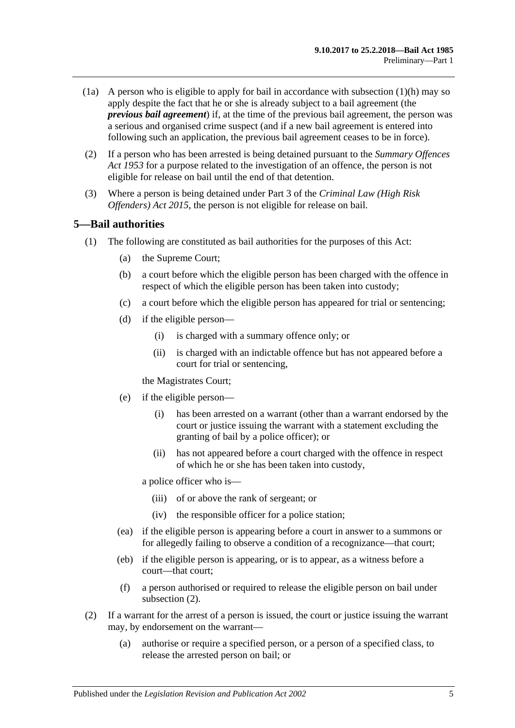- (1a) A person who is eligible to apply for bail in accordance with [subsection](#page-3-3)  $(1)(h)$  may so apply despite the fact that he or she is already subject to a bail agreement (the *previous bail agreement*) if, at the time of the previous bail agreement, the person was a serious and organised crime suspect (and if a new bail agreement is entered into following such an application, the previous bail agreement ceases to be in force).
- (2) If a person who has been arrested is being detained pursuant to the *[Summary Offences](http://www.legislation.sa.gov.au/index.aspx?action=legref&type=act&legtitle=Summary%20Offences%20Act%201953)  Act [1953](http://www.legislation.sa.gov.au/index.aspx?action=legref&type=act&legtitle=Summary%20Offences%20Act%201953)* for a purpose related to the investigation of an offence, the person is not eligible for release on bail until the end of that detention.
- (3) Where a person is being detained under Part 3 of the *[Criminal Law \(High Risk](http://www.legislation.sa.gov.au/index.aspx?action=legref&type=act&legtitle=Criminal%20Law%20(High%20Risk%20Offenders)%20Act%202015)  [Offenders\) Act](http://www.legislation.sa.gov.au/index.aspx?action=legref&type=act&legtitle=Criminal%20Law%20(High%20Risk%20Offenders)%20Act%202015) 2015*, the person is not eligible for release on bail.

#### <span id="page-4-0"></span>**5—Bail authorities**

- (1) The following are constituted as bail authorities for the purposes of this Act:
	- (a) the Supreme Court;
	- (b) a court before which the eligible person has been charged with the offence in respect of which the eligible person has been taken into custody;
	- (c) a court before which the eligible person has appeared for trial or sentencing;
	- (d) if the eligible person—
		- (i) is charged with a summary offence only; or
		- (ii) is charged with an indictable offence but has not appeared before a court for trial or sentencing,

the Magistrates Court;

- (e) if the eligible person—
	- (i) has been arrested on a warrant (other than a warrant endorsed by the court or justice issuing the warrant with a statement excluding the granting of bail by a police officer); or
	- (ii) has not appeared before a court charged with the offence in respect of which he or she has been taken into custody,

a police officer who is—

- (iii) of or above the rank of sergeant; or
- (iv) the responsible officer for a police station;
- (ea) if the eligible person is appearing before a court in answer to a summons or for allegedly failing to observe a condition of a recognizance—that court;
- (eb) if the eligible person is appearing, or is to appear, as a witness before a court—that court;
- (f) a person authorised or required to release the eligible person on bail under [subsection](#page-4-1) (2).
- <span id="page-4-1"></span>(2) If a warrant for the arrest of a person is issued, the court or justice issuing the warrant may, by endorsement on the warrant—
	- (a) authorise or require a specified person, or a person of a specified class, to release the arrested person on bail; or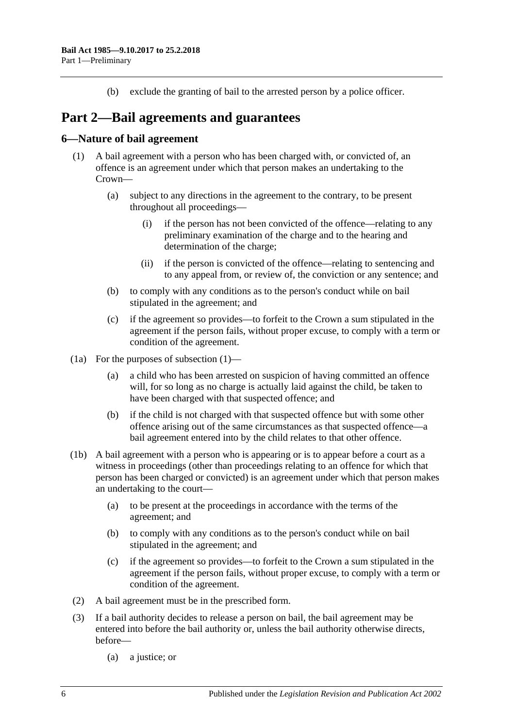(b) exclude the granting of bail to the arrested person by a police officer.

# <span id="page-5-0"></span>**Part 2—Bail agreements and guarantees**

### <span id="page-5-2"></span><span id="page-5-1"></span>**6—Nature of bail agreement**

- (1) A bail agreement with a person who has been charged with, or convicted of, an offence is an agreement under which that person makes an undertaking to the Crown—
	- (a) subject to any directions in the agreement to the contrary, to be present throughout all proceedings—
		- (i) if the person has not been convicted of the offence—relating to any preliminary examination of the charge and to the hearing and determination of the charge;
		- (ii) if the person is convicted of the offence—relating to sentencing and to any appeal from, or review of, the conviction or any sentence; and
	- (b) to comply with any conditions as to the person's conduct while on bail stipulated in the agreement; and
	- (c) if the agreement so provides—to forfeit to the Crown a sum stipulated in the agreement if the person fails, without proper excuse, to comply with a term or condition of the agreement.
- (1a) For the purposes of [subsection](#page-5-2) (1)—
	- (a) a child who has been arrested on suspicion of having committed an offence will, for so long as no charge is actually laid against the child, be taken to have been charged with that suspected offence; and
	- (b) if the child is not charged with that suspected offence but with some other offence arising out of the same circumstances as that suspected offence—a bail agreement entered into by the child relates to that other offence.
- (1b) A bail agreement with a person who is appearing or is to appear before a court as a witness in proceedings (other than proceedings relating to an offence for which that person has been charged or convicted) is an agreement under which that person makes an undertaking to the court—
	- (a) to be present at the proceedings in accordance with the terms of the agreement; and
	- (b) to comply with any conditions as to the person's conduct while on bail stipulated in the agreement; and
	- (c) if the agreement so provides—to forfeit to the Crown a sum stipulated in the agreement if the person fails, without proper excuse, to comply with a term or condition of the agreement.
- (2) A bail agreement must be in the prescribed form.
- (3) If a bail authority decides to release a person on bail, the bail agreement may be entered into before the bail authority or, unless the bail authority otherwise directs, before—
	- (a) a justice; or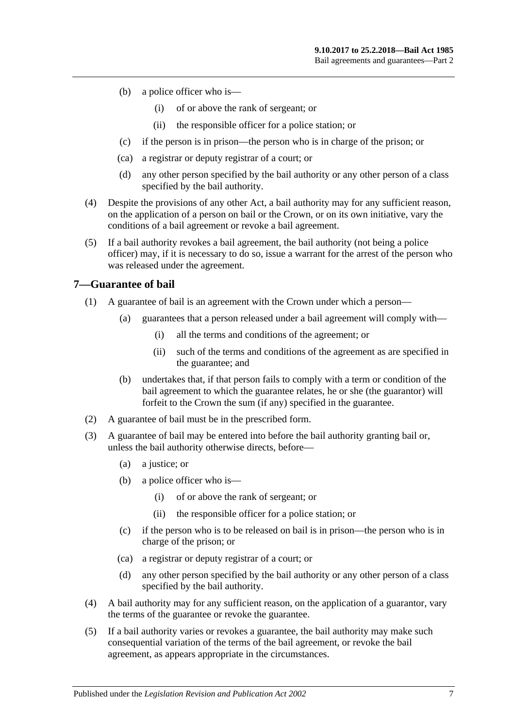- (b) a police officer who is—
	- (i) of or above the rank of sergeant; or
	- (ii) the responsible officer for a police station; or
- (c) if the person is in prison—the person who is in charge of the prison; or
- (ca) a registrar or deputy registrar of a court; or
- (d) any other person specified by the bail authority or any other person of a class specified by the bail authority.
- (4) Despite the provisions of any other Act, a bail authority may for any sufficient reason, on the application of a person on bail or the Crown, or on its own initiative, vary the conditions of a bail agreement or revoke a bail agreement.
- (5) If a bail authority revokes a bail agreement, the bail authority (not being a police officer) may, if it is necessary to do so, issue a warrant for the arrest of the person who was released under the agreement.

### <span id="page-6-0"></span>**7—Guarantee of bail**

- (1) A guarantee of bail is an agreement with the Crown under which a person—
	- (a) guarantees that a person released under a bail agreement will comply with—
		- (i) all the terms and conditions of the agreement; or
		- (ii) such of the terms and conditions of the agreement as are specified in the guarantee; and
	- (b) undertakes that, if that person fails to comply with a term or condition of the bail agreement to which the guarantee relates, he or she (the guarantor) will forfeit to the Crown the sum (if any) specified in the guarantee.
- (2) A guarantee of bail must be in the prescribed form.
- (3) A guarantee of bail may be entered into before the bail authority granting bail or, unless the bail authority otherwise directs, before—
	- (a) a justice; or
	- (b) a police officer who is—
		- (i) of or above the rank of sergeant; or
		- (ii) the responsible officer for a police station; or
	- (c) if the person who is to be released on bail is in prison—the person who is in charge of the prison; or
	- (ca) a registrar or deputy registrar of a court; or
	- (d) any other person specified by the bail authority or any other person of a class specified by the bail authority.
- (4) A bail authority may for any sufficient reason, on the application of a guarantor, vary the terms of the guarantee or revoke the guarantee.
- (5) If a bail authority varies or revokes a guarantee, the bail authority may make such consequential variation of the terms of the bail agreement, or revoke the bail agreement, as appears appropriate in the circumstances.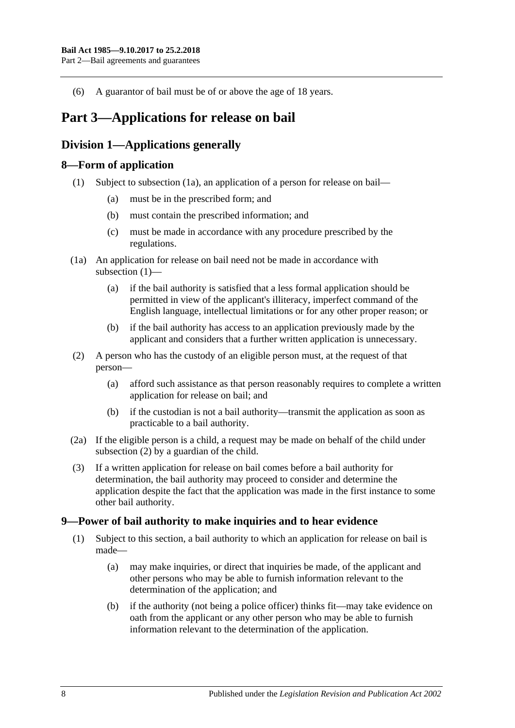(6) A guarantor of bail must be of or above the age of 18 years.

# <span id="page-7-0"></span>**Part 3—Applications for release on bail**

# <span id="page-7-1"></span>**Division 1—Applications generally**

# <span id="page-7-5"></span><span id="page-7-2"></span>**8—Form of application**

- (1) Subject to [subsection](#page-7-4) (1a), an application of a person for release on bail—
	- (a) must be in the prescribed form; and
	- (b) must contain the prescribed information; and
	- (c) must be made in accordance with any procedure prescribed by the regulations.
- <span id="page-7-4"></span>(1a) An application for release on bail need not be made in accordance with [subsection](#page-7-5) (1)—
	- (a) if the bail authority is satisfied that a less formal application should be permitted in view of the applicant's illiteracy, imperfect command of the English language, intellectual limitations or for any other proper reason; or
	- (b) if the bail authority has access to an application previously made by the applicant and considers that a further written application is unnecessary.
- <span id="page-7-6"></span>(2) A person who has the custody of an eligible person must, at the request of that person—
	- (a) afford such assistance as that person reasonably requires to complete a written application for release on bail; and
	- (b) if the custodian is not a bail authority—transmit the application as soon as practicable to a bail authority.
- (2a) If the eligible person is a child, a request may be made on behalf of the child under [subsection](#page-7-6) (2) by a guardian of the child.
- (3) If a written application for release on bail comes before a bail authority for determination, the bail authority may proceed to consider and determine the application despite the fact that the application was made in the first instance to some other bail authority.

# <span id="page-7-3"></span>**9—Power of bail authority to make inquiries and to hear evidence**

- <span id="page-7-7"></span>(1) Subject to this section, a bail authority to which an application for release on bail is made—
	- (a) may make inquiries, or direct that inquiries be made, of the applicant and other persons who may be able to furnish information relevant to the determination of the application; and
	- (b) if the authority (not being a police officer) thinks fit—may take evidence on oath from the applicant or any other person who may be able to furnish information relevant to the determination of the application.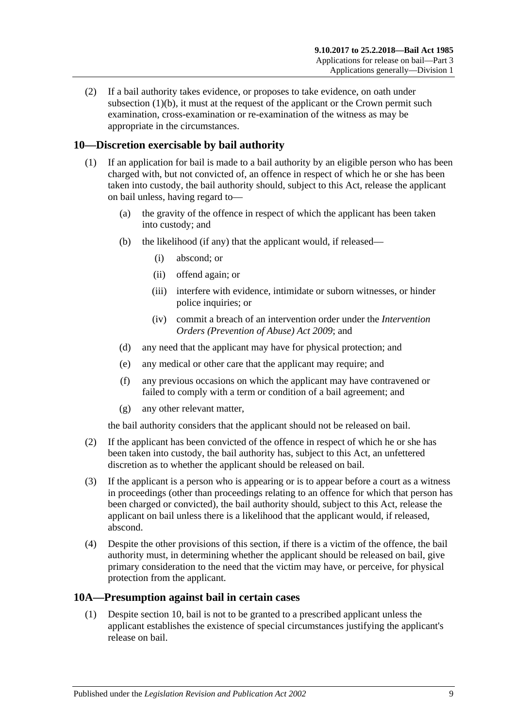(2) If a bail authority takes evidence, or proposes to take evidence, on oath under [subsection](#page-7-7)  $(1)(b)$ , it must at the request of the applicant or the Crown permit such examination, cross-examination or re-examination of the witness as may be appropriate in the circumstances.

# <span id="page-8-0"></span>**10—Discretion exercisable by bail authority**

- (1) If an application for bail is made to a bail authority by an eligible person who has been charged with, but not convicted of, an offence in respect of which he or she has been taken into custody, the bail authority should, subject to this Act, release the applicant on bail unless, having regard to—
	- (a) the gravity of the offence in respect of which the applicant has been taken into custody; and
	- (b) the likelihood (if any) that the applicant would, if released—
		- (i) abscond; or
		- (ii) offend again; or
		- (iii) interfere with evidence, intimidate or suborn witnesses, or hinder police inquiries; or
		- (iv) commit a breach of an intervention order under the *[Intervention](http://www.legislation.sa.gov.au/index.aspx?action=legref&type=act&legtitle=Intervention%20Orders%20(Prevention%20of%20Abuse)%20Act%202009)  [Orders \(Prevention of Abuse\) Act](http://www.legislation.sa.gov.au/index.aspx?action=legref&type=act&legtitle=Intervention%20Orders%20(Prevention%20of%20Abuse)%20Act%202009) 2009*; and
	- (d) any need that the applicant may have for physical protection; and
	- (e) any medical or other care that the applicant may require; and
	- (f) any previous occasions on which the applicant may have contravened or failed to comply with a term or condition of a bail agreement; and
	- (g) any other relevant matter,

the bail authority considers that the applicant should not be released on bail.

- (2) If the applicant has been convicted of the offence in respect of which he or she has been taken into custody, the bail authority has, subject to this Act, an unfettered discretion as to whether the applicant should be released on bail.
- (3) If the applicant is a person who is appearing or is to appear before a court as a witness in proceedings (other than proceedings relating to an offence for which that person has been charged or convicted), the bail authority should, subject to this Act, release the applicant on bail unless there is a likelihood that the applicant would, if released, abscond.
- (4) Despite the other provisions of this section, if there is a victim of the offence, the bail authority must, in determining whether the applicant should be released on bail, give primary consideration to the need that the victim may have, or perceive, for physical protection from the applicant.

# <span id="page-8-2"></span><span id="page-8-1"></span>**10A—Presumption against bail in certain cases**

(1) Despite [section](#page-8-0) 10, bail is not to be granted to a prescribed applicant unless the applicant establishes the existence of special circumstances justifying the applicant's release on bail.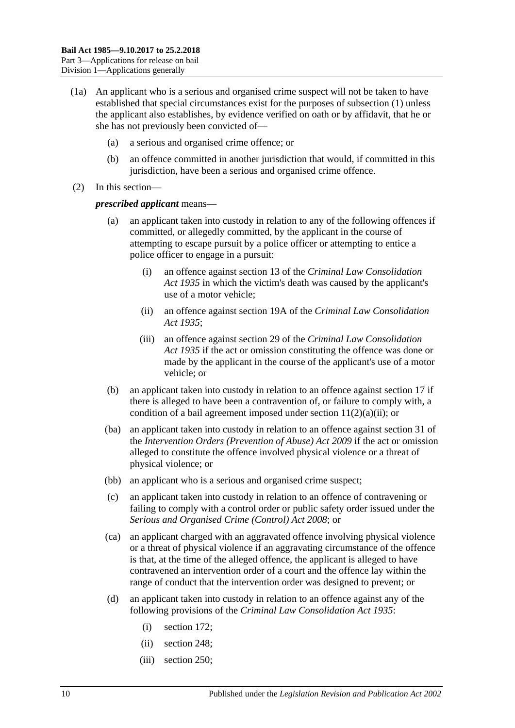- (1a) An applicant who is a serious and organised crime suspect will not be taken to have established that special circumstances exist for the purposes of [subsection](#page-8-2) (1) unless the applicant also establishes, by evidence verified on oath or by affidavit, that he or she has not previously been convicted of—
	- (a) a serious and organised crime offence; or
	- (b) an offence committed in another jurisdiction that would, if committed in this jurisdiction, have been a serious and organised crime offence.
- (2) In this section—

#### *prescribed applicant* means—

- (a) an applicant taken into custody in relation to any of the following offences if committed, or allegedly committed, by the applicant in the course of attempting to escape pursuit by a police officer or attempting to entice a police officer to engage in a pursuit:
	- (i) an offence against section 13 of the *[Criminal Law Consolidation](http://www.legislation.sa.gov.au/index.aspx?action=legref&type=act&legtitle=Criminal%20Law%20Consolidation%20Act%201935)  Act [1935](http://www.legislation.sa.gov.au/index.aspx?action=legref&type=act&legtitle=Criminal%20Law%20Consolidation%20Act%201935)* in which the victim's death was caused by the applicant's use of a motor vehicle;
	- (ii) an offence against section 19A of the *[Criminal Law Consolidation](http://www.legislation.sa.gov.au/index.aspx?action=legref&type=act&legtitle=Criminal%20Law%20Consolidation%20Act%201935)  Act [1935](http://www.legislation.sa.gov.au/index.aspx?action=legref&type=act&legtitle=Criminal%20Law%20Consolidation%20Act%201935)*;
	- (iii) an offence against section 29 of the *[Criminal Law Consolidation](http://www.legislation.sa.gov.au/index.aspx?action=legref&type=act&legtitle=Criminal%20Law%20Consolidation%20Act%201935)  Act [1935](http://www.legislation.sa.gov.au/index.aspx?action=legref&type=act&legtitle=Criminal%20Law%20Consolidation%20Act%201935)* if the act or omission constituting the offence was done or made by the applicant in the course of the applicant's use of a motor vehicle; or
- (b) an applicant taken into custody in relation to an offence against [section](#page-19-1) 17 if there is alleged to have been a contravention of, or failure to comply with, a condition of a bail agreement imposed under section  $11(2)(a)(ii)$ ; or
- (ba) an applicant taken into custody in relation to an offence against section 31 of the *[Intervention Orders \(Prevention of Abuse\) Act](http://www.legislation.sa.gov.au/index.aspx?action=legref&type=act&legtitle=Intervention%20Orders%20(Prevention%20of%20Abuse)%20Act%202009) 2009* if the act or omission alleged to constitute the offence involved physical violence or a threat of physical violence; or
- (bb) an applicant who is a serious and organised crime suspect;
- (c) an applicant taken into custody in relation to an offence of contravening or failing to comply with a control order or public safety order issued under the *[Serious and Organised Crime \(Control\) Act](http://www.legislation.sa.gov.au/index.aspx?action=legref&type=act&legtitle=Serious%20and%20Organised%20Crime%20(Control)%20Act%202008) 2008*; or
- (ca) an applicant charged with an aggravated offence involving physical violence or a threat of physical violence if an aggravating circumstance of the offence is that, at the time of the alleged offence, the applicant is alleged to have contravened an intervention order of a court and the offence lay within the range of conduct that the intervention order was designed to prevent; or
- (d) an applicant taken into custody in relation to an offence against any of the following provisions of the *[Criminal Law Consolidation Act](http://www.legislation.sa.gov.au/index.aspx?action=legref&type=act&legtitle=Criminal%20Law%20Consolidation%20Act%201935) 1935*:
	- (i) section 172;
	- (ii) section 248;
	- (iii) section 250;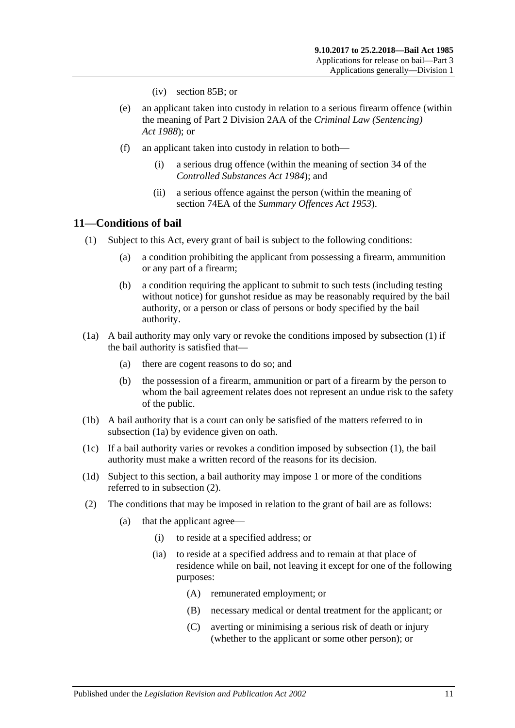- (iv) section 85B; or
- (e) an applicant taken into custody in relation to a serious firearm offence (within the meaning of Part 2 Division 2AA of the *[Criminal Law \(Sentencing\)](http://www.legislation.sa.gov.au/index.aspx?action=legref&type=act&legtitle=Criminal%20Law%20(Sentencing)%20Act%201988)  Act [1988](http://www.legislation.sa.gov.au/index.aspx?action=legref&type=act&legtitle=Criminal%20Law%20(Sentencing)%20Act%201988)*); or
- (f) an applicant taken into custody in relation to both—
	- (i) a serious drug offence (within the meaning of section 34 of the *[Controlled Substances Act](http://www.legislation.sa.gov.au/index.aspx?action=legref&type=act&legtitle=Controlled%20Substances%20Act%201984) 1984*); and
	- (ii) a serious offence against the person (within the meaning of section 74EA of the *[Summary Offences Act](http://www.legislation.sa.gov.au/index.aspx?action=legref&type=act&legtitle=Summary%20Offences%20Act%201953) 1953*).

# <span id="page-10-1"></span><span id="page-10-0"></span>**11—Conditions of bail**

- <span id="page-10-5"></span>(1) Subject to this Act, every grant of bail is subject to the following conditions:
	- (a) a condition prohibiting the applicant from possessing a firearm, ammunition or any part of a firearm;
	- (b) a condition requiring the applicant to submit to such tests (including testing without notice) for gunshot residue as may be reasonably required by the bail authority, or a person or class of persons or body specified by the bail authority.
- <span id="page-10-2"></span>(1a) A bail authority may only vary or revoke the conditions imposed by [subsection](#page-10-1) (1) if the bail authority is satisfied that—
	- (a) there are cogent reasons to do so; and
	- (b) the possession of a firearm, ammunition or part of a firearm by the person to whom the bail agreement relates does not represent an undue risk to the safety of the public.
- (1b) A bail authority that is a court can only be satisfied of the matters referred to in [subsection](#page-10-2) (1a) by evidence given on oath.
- (1c) If a bail authority varies or revokes a condition imposed by [subsection](#page-10-1) (1), the bail authority must make a written record of the reasons for its decision.
- (1d) Subject to this section, a bail authority may impose 1 or more of the conditions referred to in [subsection](#page-10-3) (2).
- <span id="page-10-4"></span><span id="page-10-3"></span>(2) The conditions that may be imposed in relation to the grant of bail are as follows:
	- (a) that the applicant agree—
		- (i) to reside at a specified address; or
		- (ia) to reside at a specified address and to remain at that place of residence while on bail, not leaving it except for one of the following purposes:
			- (A) remunerated employment; or
			- (B) necessary medical or dental treatment for the applicant; or
			- (C) averting or minimising a serious risk of death or injury (whether to the applicant or some other person); or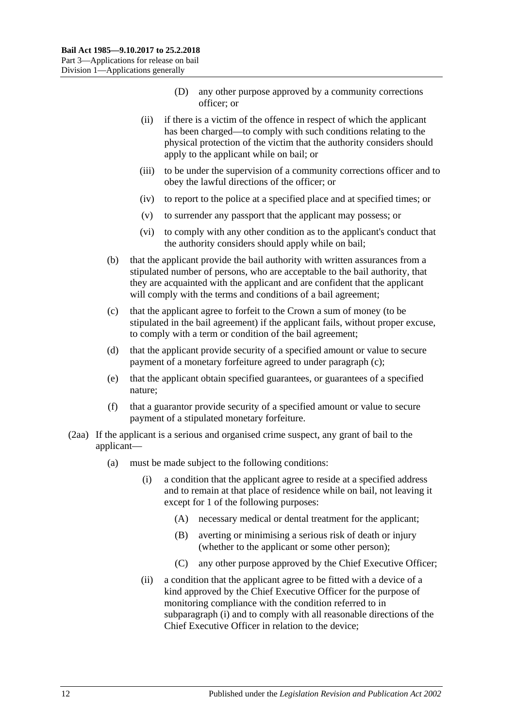- (D) any other purpose approved by a community corrections officer; or
- <span id="page-11-0"></span>(ii) if there is a victim of the offence in respect of which the applicant has been charged—to comply with such conditions relating to the physical protection of the victim that the authority considers should apply to the applicant while on bail; or
- <span id="page-11-3"></span>(iii) to be under the supervision of a community corrections officer and to obey the lawful directions of the officer; or
- (iv) to report to the police at a specified place and at specified times; or
- (v) to surrender any passport that the applicant may possess; or
- (vi) to comply with any other condition as to the applicant's conduct that the authority considers should apply while on bail;
- (b) that the applicant provide the bail authority with written assurances from a stipulated number of persons, who are acceptable to the bail authority, that they are acquainted with the applicant and are confident that the applicant will comply with the terms and conditions of a bail agreement;
- <span id="page-11-1"></span>(c) that the applicant agree to forfeit to the Crown a sum of money (to be stipulated in the bail agreement) if the applicant fails, without proper excuse, to comply with a term or condition of the bail agreement;
- (d) that the applicant provide security of a specified amount or value to secure payment of a monetary forfeiture agreed to under [paragraph](#page-11-1) (c);
- (e) that the applicant obtain specified guarantees, or guarantees of a specified nature;
- (f) that a guarantor provide security of a specified amount or value to secure payment of a stipulated monetary forfeiture.
- <span id="page-11-2"></span>(2aa) If the applicant is a serious and organised crime suspect, any grant of bail to the applicant—
	- (a) must be made subject to the following conditions:
		- (i) a condition that the applicant agree to reside at a specified address and to remain at that place of residence while on bail, not leaving it except for 1 of the following purposes:
			- (A) necessary medical or dental treatment for the applicant;
			- (B) averting or minimising a serious risk of death or injury (whether to the applicant or some other person);
			- (C) any other purpose approved by the Chief Executive Officer;
		- (ii) a condition that the applicant agree to be fitted with a device of a kind approved by the Chief Executive Officer for the purpose of monitoring compliance with the condition referred to in [subparagraph](#page-11-2) (i) and to comply with all reasonable directions of the Chief Executive Officer in relation to the device;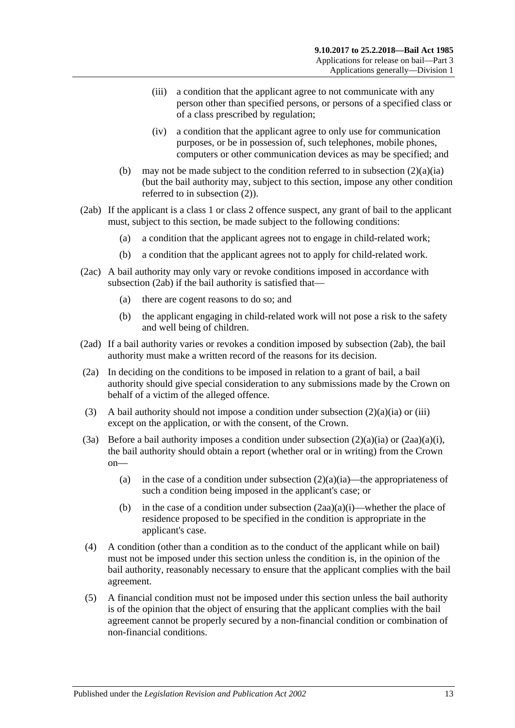- (iii) a condition that the applicant agree to not communicate with any person other than specified persons, or persons of a specified class or of a class prescribed by regulation;
- (iv) a condition that the applicant agree to only use for communication purposes, or be in possession of, such telephones, mobile phones, computers or other communication devices as may be specified; and
- (b) may not be made subject to the condition referred to in [subsection](#page-10-4)  $(2)(a)(ia)$ (but the bail authority may, subject to this section, impose any other condition referred to in [subsection](#page-10-3) (2)).
- <span id="page-12-0"></span>(2ab) If the applicant is a class 1 or class 2 offence suspect, any grant of bail to the applicant must, subject to this section, be made subject to the following conditions:
	- (a) a condition that the applicant agrees not to engage in child-related work;
	- (b) a condition that the applicant agrees not to apply for child-related work.
- (2ac) A bail authority may only vary or revoke conditions imposed in accordance with [subsection](#page-12-0) (2ab) if the bail authority is satisfied that—
	- (a) there are cogent reasons to do so; and
	- (b) the applicant engaging in child-related work will not pose a risk to the safety and well being of children.
- (2ad) If a bail authority varies or revokes a condition imposed by [subsection](#page-12-0) (2ab), the bail authority must make a written record of the reasons for its decision.
- (2a) In deciding on the conditions to be imposed in relation to a grant of bail, a bail authority should give special consideration to any submissions made by the Crown on behalf of a victim of the alleged offence.
- (3) A bail authority should not impose a condition under [subsection](#page-10-4)  $(2)(a)(ia)$  or [\(iii\)](#page-11-3) except on the application, or with the consent, of the Crown.
- (3a) Before a bail authority imposes a condition under [subsection](#page-10-4)  $(2)(a)(ia)$  or  $(2aa)(a)(i)$ , the bail authority should obtain a report (whether oral or in writing) from the Crown on
	- (a) in the case of a condition under [subsection](#page-10-4)  $(2)(a)(ia)$ —the appropriateness of such a condition being imposed in the applicant's case; or
	- (b) in the case of a condition under [subsection](#page-11-2)  $(2aa)(a)(i)$ —whether the place of residence proposed to be specified in the condition is appropriate in the applicant's case.
- (4) A condition (other than a condition as to the conduct of the applicant while on bail) must not be imposed under this section unless the condition is, in the opinion of the bail authority, reasonably necessary to ensure that the applicant complies with the bail agreement.
- (5) A financial condition must not be imposed under this section unless the bail authority is of the opinion that the object of ensuring that the applicant complies with the bail agreement cannot be properly secured by a non-financial condition or combination of non-financial conditions.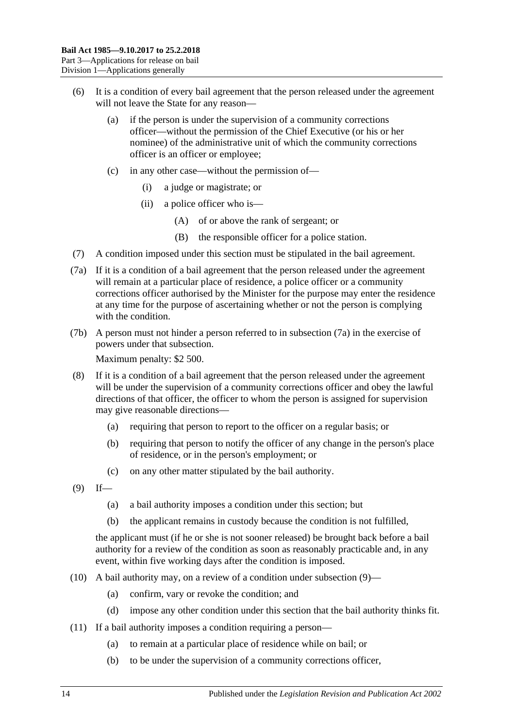- (6) It is a condition of every bail agreement that the person released under the agreement will not leave the State for any reason—
	- (a) if the person is under the supervision of a community corrections officer—without the permission of the Chief Executive (or his or her nominee) of the administrative unit of which the community corrections officer is an officer or employee;
	- (c) in any other case—without the permission of—
		- (i) a judge or magistrate; or
		- (ii) a police officer who is—
			- (A) of or above the rank of sergeant; or
			- (B) the responsible officer for a police station.
- (7) A condition imposed under this section must be stipulated in the bail agreement.
- <span id="page-13-0"></span>(7a) If it is a condition of a bail agreement that the person released under the agreement will remain at a particular place of residence, a police officer or a community corrections officer authorised by the Minister for the purpose may enter the residence at any time for the purpose of ascertaining whether or not the person is complying with the condition.
- (7b) A person must not hinder a person referred to in [subsection](#page-13-0) (7a) in the exercise of powers under that subsection.

Maximum penalty: \$2 500.

- (8) If it is a condition of a bail agreement that the person released under the agreement will be under the supervision of a community corrections officer and obey the lawful directions of that officer, the officer to whom the person is assigned for supervision may give reasonable directions—
	- (a) requiring that person to report to the officer on a regular basis; or
	- (b) requiring that person to notify the officer of any change in the person's place of residence, or in the person's employment; or
	- (c) on any other matter stipulated by the bail authority.
- <span id="page-13-1"></span> $(9)$  If—
	- (a) a bail authority imposes a condition under this section; but
	- (b) the applicant remains in custody because the condition is not fulfilled,

the applicant must (if he or she is not sooner released) be brought back before a bail authority for a review of the condition as soon as reasonably practicable and, in any event, within five working days after the condition is imposed.

- (10) A bail authority may, on a review of a condition under [subsection](#page-13-1) (9)—
	- (a) confirm, vary or revoke the condition; and
	- (d) impose any other condition under this section that the bail authority thinks fit.
- (11) If a bail authority imposes a condition requiring a person—
	- (a) to remain at a particular place of residence while on bail; or
	- (b) to be under the supervision of a community corrections officer,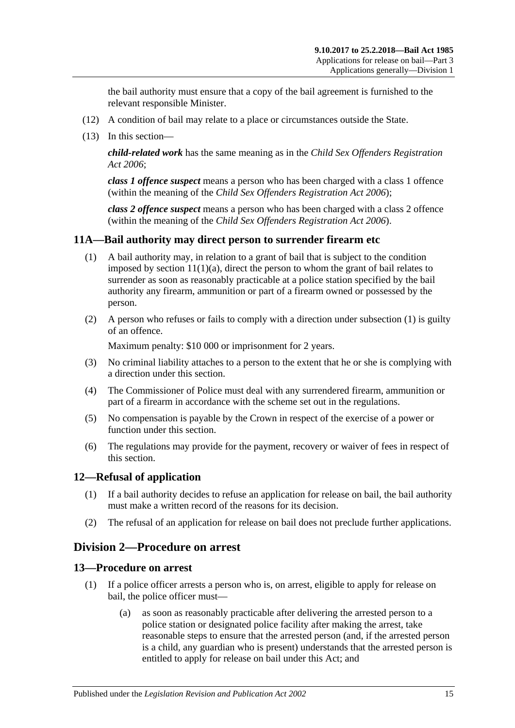the bail authority must ensure that a copy of the bail agreement is furnished to the relevant responsible Minister.

- (12) A condition of bail may relate to a place or circumstances outside the State.
- (13) In this section—

*child-related work* has the same meaning as in the *[Child Sex Offenders Registration](http://www.legislation.sa.gov.au/index.aspx?action=legref&type=act&legtitle=Child%20Sex%20Offenders%20Registration%20Act%202006)  Act [2006](http://www.legislation.sa.gov.au/index.aspx?action=legref&type=act&legtitle=Child%20Sex%20Offenders%20Registration%20Act%202006)*;

*class 1 offence suspect* means a person who has been charged with a class 1 offence (within the meaning of the *[Child Sex Offenders Registration Act](http://www.legislation.sa.gov.au/index.aspx?action=legref&type=act&legtitle=Child%20Sex%20Offenders%20Registration%20Act%202006) 2006*);

*class 2 offence suspect* means a person who has been charged with a class 2 offence (within the meaning of the *[Child Sex Offenders Registration Act](http://www.legislation.sa.gov.au/index.aspx?action=legref&type=act&legtitle=Child%20Sex%20Offenders%20Registration%20Act%202006) 2006*).

# <span id="page-14-4"></span><span id="page-14-0"></span>**11A—Bail authority may direct person to surrender firearm etc**

- (1) A bail authority may, in relation to a grant of bail that is subject to the condition imposed by section  $11(1)(a)$ , direct the person to whom the grant of bail relates to surrender as soon as reasonably practicable at a police station specified by the bail authority any firearm, ammunition or part of a firearm owned or possessed by the person.
- (2) A person who refuses or fails to comply with a direction under [subsection](#page-14-4) (1) is guilty of an offence.

Maximum penalty: \$10 000 or imprisonment for 2 years.

- (3) No criminal liability attaches to a person to the extent that he or she is complying with a direction under this section.
- (4) The Commissioner of Police must deal with any surrendered firearm, ammunition or part of a firearm in accordance with the scheme set out in the regulations.
- (5) No compensation is payable by the Crown in respect of the exercise of a power or function under this section.
- (6) The regulations may provide for the payment, recovery or waiver of fees in respect of this section.

# <span id="page-14-1"></span>**12—Refusal of application**

- (1) If a bail authority decides to refuse an application for release on bail, the bail authority must make a written record of the reasons for its decision.
- (2) The refusal of an application for release on bail does not preclude further applications.

# <span id="page-14-2"></span>**Division 2—Procedure on arrest**

#### <span id="page-14-3"></span>**13—Procedure on arrest**

- (1) If a police officer arrests a person who is, on arrest, eligible to apply for release on bail, the police officer must—
	- (a) as soon as reasonably practicable after delivering the arrested person to a police station or designated police facility after making the arrest, take reasonable steps to ensure that the arrested person (and, if the arrested person is a child, any guardian who is present) understands that the arrested person is entitled to apply for release on bail under this Act; and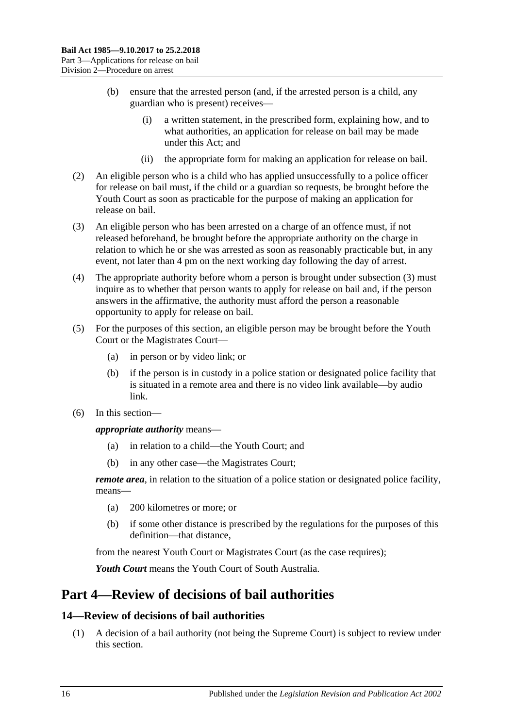- (b) ensure that the arrested person (and, if the arrested person is a child, any guardian who is present) receives—
	- (i) a written statement, in the prescribed form, explaining how, and to what authorities, an application for release on bail may be made under this Act; and
	- (ii) the appropriate form for making an application for release on bail.
- (2) An eligible person who is a child who has applied unsuccessfully to a police officer for release on bail must, if the child or a guardian so requests, be brought before the Youth Court as soon as practicable for the purpose of making an application for release on bail.
- <span id="page-15-2"></span>(3) An eligible person who has been arrested on a charge of an offence must, if not released beforehand, be brought before the appropriate authority on the charge in relation to which he or she was arrested as soon as reasonably practicable but, in any event, not later than 4 pm on the next working day following the day of arrest.
- (4) The appropriate authority before whom a person is brought under [subsection](#page-15-2) (3) must inquire as to whether that person wants to apply for release on bail and, if the person answers in the affirmative, the authority must afford the person a reasonable opportunity to apply for release on bail.
- (5) For the purposes of this section, an eligible person may be brought before the Youth Court or the Magistrates Court—
	- (a) in person or by video link; or
	- (b) if the person is in custody in a police station or designated police facility that is situated in a remote area and there is no video link available—by audio link.
- (6) In this section—

*appropriate authority* means—

- (a) in relation to a child—the Youth Court; and
- (b) in any other case—the Magistrates Court;

*remote area*, in relation to the situation of a police station or designated police facility, means—

- (a) 200 kilometres or more; or
- (b) if some other distance is prescribed by the regulations for the purposes of this definition—that distance,

from the nearest Youth Court or Magistrates Court (as the case requires);

*Youth Court* means the Youth Court of South Australia.

# <span id="page-15-0"></span>**Part 4—Review of decisions of bail authorities**

# <span id="page-15-1"></span>**14—Review of decisions of bail authorities**

(1) A decision of a bail authority (not being the Supreme Court) is subject to review under this section.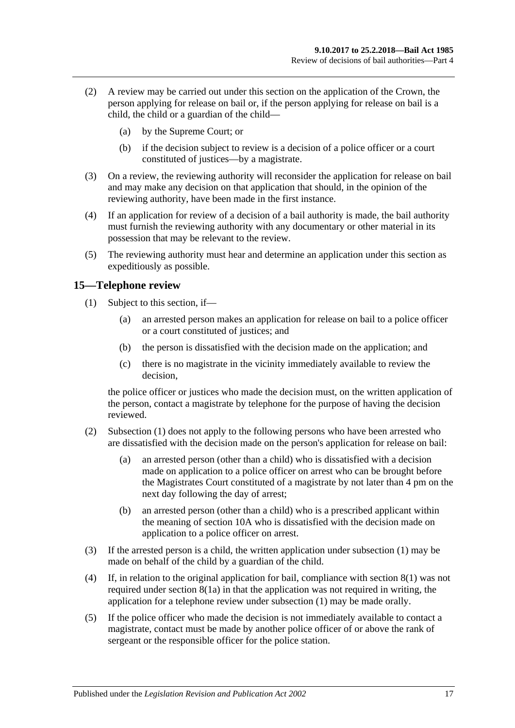- (2) A review may be carried out under this section on the application of the Crown, the person applying for release on bail or, if the person applying for release on bail is a child, the child or a guardian of the child—
	- (a) by the Supreme Court; or
	- (b) if the decision subject to review is a decision of a police officer or a court constituted of justices—by a magistrate.
- (3) On a review, the reviewing authority will reconsider the application for release on bail and may make any decision on that application that should, in the opinion of the reviewing authority, have been made in the first instance.
- (4) If an application for review of a decision of a bail authority is made, the bail authority must furnish the reviewing authority with any documentary or other material in its possession that may be relevant to the review.
- (5) The reviewing authority must hear and determine an application under this section as expeditiously as possible.

# <span id="page-16-1"></span><span id="page-16-0"></span>**15—Telephone review**

- (1) Subject to this section, if—
	- (a) an arrested person makes an application for release on bail to a police officer or a court constituted of justices; and
	- (b) the person is dissatisfied with the decision made on the application; and
	- (c) there is no magistrate in the vicinity immediately available to review the decision,

the police officer or justices who made the decision must, on the written application of the person, contact a magistrate by telephone for the purpose of having the decision reviewed.

- (2) [Subsection](#page-16-1) (1) does not apply to the following persons who have been arrested who are dissatisfied with the decision made on the person's application for release on bail:
	- (a) an arrested person (other than a child) who is dissatisfied with a decision made on application to a police officer on arrest who can be brought before the Magistrates Court constituted of a magistrate by not later than 4 pm on the next day following the day of arrest;
	- (b) an arrested person (other than a child) who is a prescribed applicant within the meaning of [section](#page-8-1) 10A who is dissatisfied with the decision made on application to a police officer on arrest.
- (3) If the arrested person is a child, the written application under [subsection](#page-16-1) (1) may be made on behalf of the child by a guardian of the child.
- (4) If, in relation to the original application for bail, compliance with [section](#page-7-5) 8(1) was not required under [section](#page-7-4) 8(1a) in that the application was not required in writing, the application for a telephone review under [subsection](#page-16-1) (1) may be made orally.
- (5) If the police officer who made the decision is not immediately available to contact a magistrate, contact must be made by another police officer of or above the rank of sergeant or the responsible officer for the police station.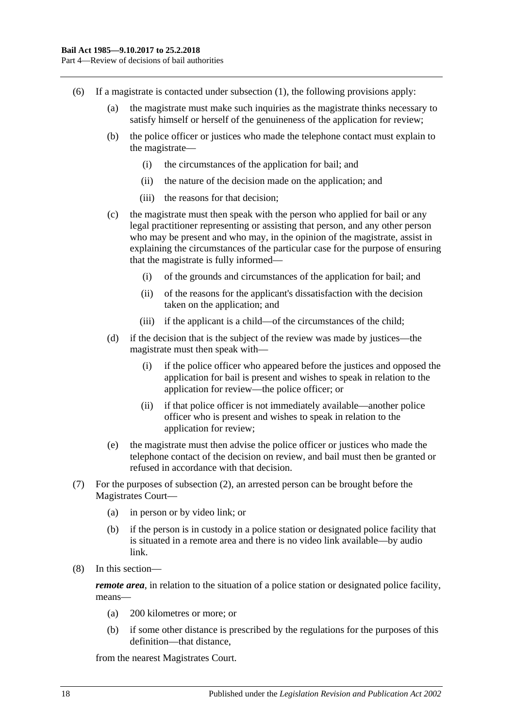- (6) If a magistrate is contacted under [subsection](#page-16-1) (1), the following provisions apply:
	- (a) the magistrate must make such inquiries as the magistrate thinks necessary to satisfy himself or herself of the genuineness of the application for review;
	- (b) the police officer or justices who made the telephone contact must explain to the magistrate—
		- (i) the circumstances of the application for bail; and
		- (ii) the nature of the decision made on the application; and
		- (iii) the reasons for that decision;
	- (c) the magistrate must then speak with the person who applied for bail or any legal practitioner representing or assisting that person, and any other person who may be present and who may, in the opinion of the magistrate, assist in explaining the circumstances of the particular case for the purpose of ensuring that the magistrate is fully informed—
		- (i) of the grounds and circumstances of the application for bail; and
		- (ii) of the reasons for the applicant's dissatisfaction with the decision taken on the application; and
		- (iii) if the applicant is a child—of the circumstances of the child;
	- (d) if the decision that is the subject of the review was made by justices—the magistrate must then speak with—
		- (i) if the police officer who appeared before the justices and opposed the application for bail is present and wishes to speak in relation to the application for review—the police officer; or
		- (ii) if that police officer is not immediately available—another police officer who is present and wishes to speak in relation to the application for review;
	- (e) the magistrate must then advise the police officer or justices who made the telephone contact of the decision on review, and bail must then be granted or refused in accordance with that decision.
- (7) For the purposes of subsection (2), an arrested person can be brought before the Magistrates Court—
	- (a) in person or by video link; or
	- (b) if the person is in custody in a police station or designated police facility that is situated in a remote area and there is no video link available—by audio link.
- (8) In this section—

*remote area*, in relation to the situation of a police station or designated police facility, means—

- (a) 200 kilometres or more; or
- (b) if some other distance is prescribed by the regulations for the purposes of this definition—that distance,

from the nearest Magistrates Court.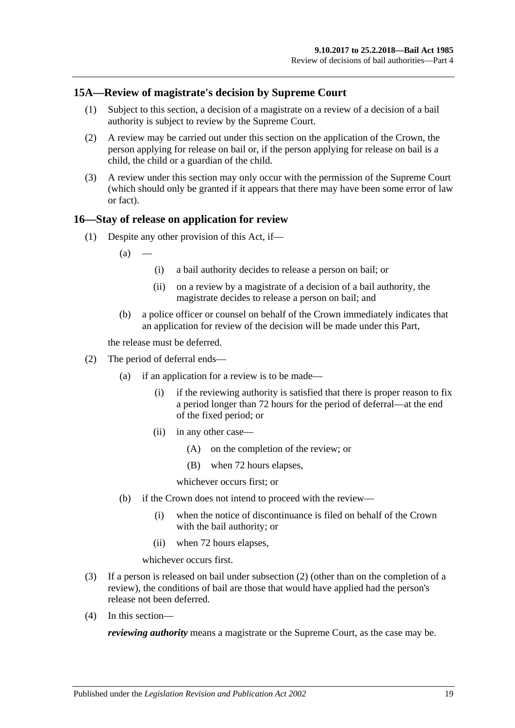# <span id="page-18-0"></span>**15A—Review of magistrate's decision by Supreme Court**

- (1) Subject to this section, a decision of a magistrate on a review of a decision of a bail authority is subject to review by the Supreme Court.
- (2) A review may be carried out under this section on the application of the Crown, the person applying for release on bail or, if the person applying for release on bail is a child, the child or a guardian of the child.
- (3) A review under this section may only occur with the permission of the Supreme Court (which should only be granted if it appears that there may have been some error of law or fact).

#### <span id="page-18-1"></span>**16—Stay of release on application for review**

(1) Despite any other provision of this Act, if—

 $(a)$ 

- (i) a bail authority decides to release a person on bail; or
- (ii) on a review by a magistrate of a decision of a bail authority, the magistrate decides to release a person on bail; and
- (b) a police officer or counsel on behalf of the Crown immediately indicates that an application for review of the decision will be made under this Part,

the release must be deferred.

- <span id="page-18-2"></span>(2) The period of deferral ends—
	- (a) if an application for a review is to be made—
		- (i) if the reviewing authority is satisfied that there is proper reason to fix a period longer than 72 hours for the period of deferral—at the end of the fixed period; or
		- (ii) in any other case—
			- (A) on the completion of the review; or
			- (B) when 72 hours elapses,

whichever occurs first; or

- (b) if the Crown does not intend to proceed with the review—
	- (i) when the notice of discontinuance is filed on behalf of the Crown with the bail authority; or
	- (ii) when 72 hours elapses,

whichever occurs first.

- (3) If a person is released on bail under [subsection](#page-18-2) (2) (other than on the completion of a review), the conditions of bail are those that would have applied had the person's release not been deferred.
- (4) In this section—

*reviewing authority* means a magistrate or the Supreme Court, as the case may be.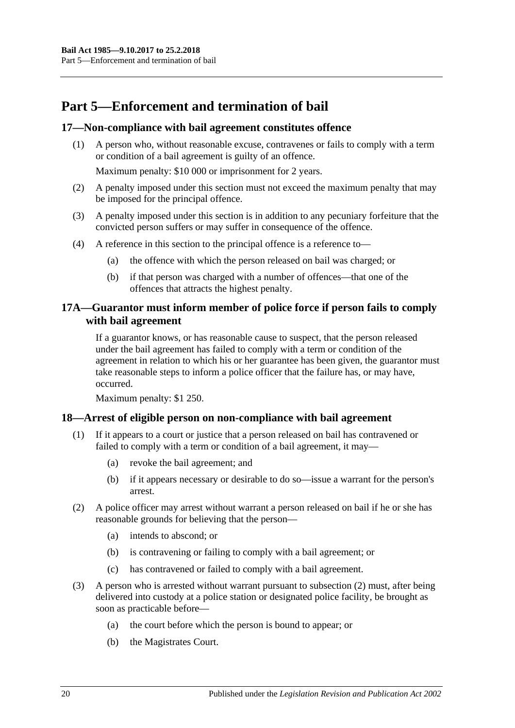# <span id="page-19-0"></span>**Part 5—Enforcement and termination of bail**

# <span id="page-19-1"></span>**17—Non-compliance with bail agreement constitutes offence**

(1) A person who, without reasonable excuse, contravenes or fails to comply with a term or condition of a bail agreement is guilty of an offence.

Maximum penalty: \$10 000 or imprisonment for 2 years.

- (2) A penalty imposed under this section must not exceed the maximum penalty that may be imposed for the principal offence.
- (3) A penalty imposed under this section is in addition to any pecuniary forfeiture that the convicted person suffers or may suffer in consequence of the offence.
- (4) A reference in this section to the principal offence is a reference to—
	- (a) the offence with which the person released on bail was charged; or
	- (b) if that person was charged with a number of offences—that one of the offences that attracts the highest penalty.

# <span id="page-19-2"></span>**17A—Guarantor must inform member of police force if person fails to comply with bail agreement**

If a guarantor knows, or has reasonable cause to suspect, that the person released under the bail agreement has failed to comply with a term or condition of the agreement in relation to which his or her guarantee has been given, the guarantor must take reasonable steps to inform a police officer that the failure has, or may have, occurred.

Maximum penalty: \$1 250.

# <span id="page-19-3"></span>**18—Arrest of eligible person on non-compliance with bail agreement**

- (1) If it appears to a court or justice that a person released on bail has contravened or failed to comply with a term or condition of a bail agreement, it may—
	- (a) revoke the bail agreement; and
	- (b) if it appears necessary or desirable to do so—issue a warrant for the person's arrest.
- <span id="page-19-4"></span>(2) A police officer may arrest without warrant a person released on bail if he or she has reasonable grounds for believing that the person—
	- (a) intends to abscond; or
	- (b) is contravening or failing to comply with a bail agreement; or
	- (c) has contravened or failed to comply with a bail agreement.
- (3) A person who is arrested without warrant pursuant to [subsection](#page-19-4) (2) must, after being delivered into custody at a police station or designated police facility, be brought as soon as practicable before—
	- (a) the court before which the person is bound to appear; or
	- (b) the Magistrates Court.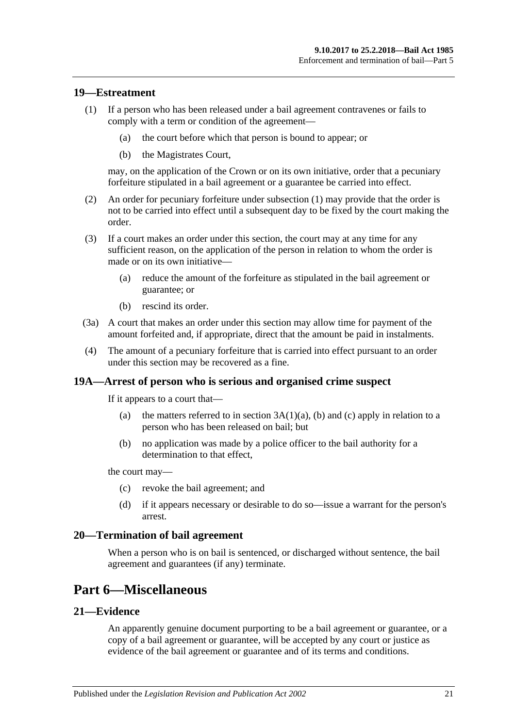### <span id="page-20-5"></span><span id="page-20-0"></span>**19—Estreatment**

- (1) If a person who has been released under a bail agreement contravenes or fails to comply with a term or condition of the agreement—
	- (a) the court before which that person is bound to appear; or
	- (b) the Magistrates Court,

may, on the application of the Crown or on its own initiative, order that a pecuniary forfeiture stipulated in a bail agreement or a guarantee be carried into effect.

- (2) An order for pecuniary forfeiture under [subsection](#page-20-5) (1) may provide that the order is not to be carried into effect until a subsequent day to be fixed by the court making the order.
- (3) If a court makes an order under this section, the court may at any time for any sufficient reason, on the application of the person in relation to whom the order is made or on its own initiative—
	- (a) reduce the amount of the forfeiture as stipulated in the bail agreement or guarantee; or
	- (b) rescind its order.
- (3a) A court that makes an order under this section may allow time for payment of the amount forfeited and, if appropriate, direct that the amount be paid in instalments.
- (4) The amount of a pecuniary forfeiture that is carried into effect pursuant to an order under this section may be recovered as a fine.

#### <span id="page-20-1"></span>**19A—Arrest of person who is serious and organised crime suspect**

If it appears to a court that—

- (a) the matters referred to in section  $3A(1)(a)$ , [\(b\)](#page-3-5) and [\(c\)](#page-3-6) apply in relation to a person who has been released on bail; but
- (b) no application was made by a police officer to the bail authority for a determination to that effect,

the court may—

- (c) revoke the bail agreement; and
- (d) if it appears necessary or desirable to do so—issue a warrant for the person's arrest.

#### <span id="page-20-2"></span>**20—Termination of bail agreement**

When a person who is on bail is sentenced, or discharged without sentence, the bail agreement and guarantees (if any) terminate.

# <span id="page-20-3"></span>**Part 6—Miscellaneous**

# <span id="page-20-4"></span>**21—Evidence**

An apparently genuine document purporting to be a bail agreement or guarantee, or a copy of a bail agreement or guarantee, will be accepted by any court or justice as evidence of the bail agreement or guarantee and of its terms and conditions.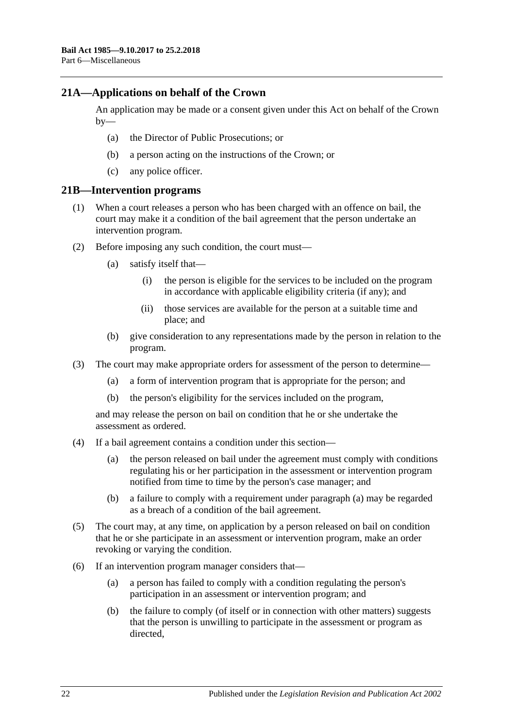## <span id="page-21-0"></span>**21A—Applications on behalf of the Crown**

An application may be made or a consent given under this Act on behalf of the Crown  $by-$ 

- (a) the Director of Public Prosecutions; or
- (b) a person acting on the instructions of the Crown; or
- (c) any police officer.

#### <span id="page-21-1"></span>**21B—Intervention programs**

- (1) When a court releases a person who has been charged with an offence on bail, the court may make it a condition of the bail agreement that the person undertake an intervention program.
- (2) Before imposing any such condition, the court must—
	- (a) satisfy itself that—
		- (i) the person is eligible for the services to be included on the program in accordance with applicable eligibility criteria (if any); and
		- (ii) those services are available for the person at a suitable time and place; and
	- (b) give consideration to any representations made by the person in relation to the program.
- (3) The court may make appropriate orders for assessment of the person to determine—
	- (a) a form of intervention program that is appropriate for the person; and
	- (b) the person's eligibility for the services included on the program,

and may release the person on bail on condition that he or she undertake the assessment as ordered.

- <span id="page-21-2"></span>(4) If a bail agreement contains a condition under this section—
	- (a) the person released on bail under the agreement must comply with conditions regulating his or her participation in the assessment or intervention program notified from time to time by the person's case manager; and
	- (b) a failure to comply with a requirement under [paragraph](#page-21-2) (a) may be regarded as a breach of a condition of the bail agreement.
- (5) The court may, at any time, on application by a person released on bail on condition that he or she participate in an assessment or intervention program, make an order revoking or varying the condition.
- (6) If an intervention program manager considers that—
	- (a) a person has failed to comply with a condition regulating the person's participation in an assessment or intervention program; and
	- (b) the failure to comply (of itself or in connection with other matters) suggests that the person is unwilling to participate in the assessment or program as directed,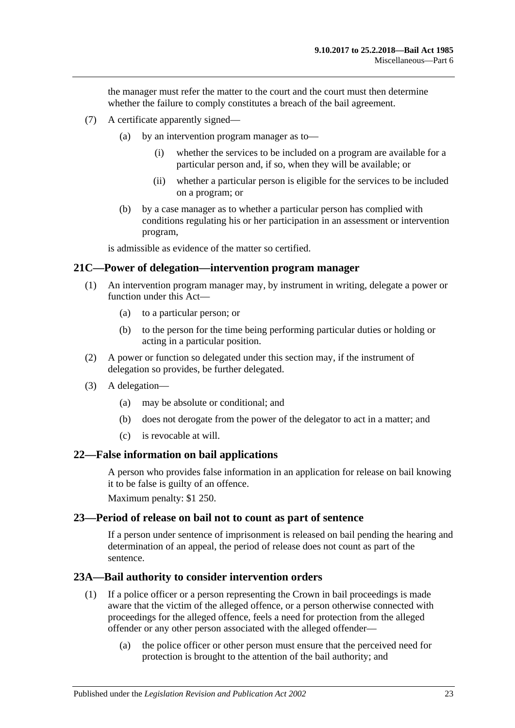the manager must refer the matter to the court and the court must then determine whether the failure to comply constitutes a breach of the bail agreement.

- (7) A certificate apparently signed—
	- (a) by an intervention program manager as to—
		- (i) whether the services to be included on a program are available for a particular person and, if so, when they will be available; or
		- (ii) whether a particular person is eligible for the services to be included on a program; or
	- (b) by a case manager as to whether a particular person has complied with conditions regulating his or her participation in an assessment or intervention program,

is admissible as evidence of the matter so certified.

#### <span id="page-22-0"></span>**21C—Power of delegation—intervention program manager**

- (1) An intervention program manager may, by instrument in writing, delegate a power or function under this Act—
	- (a) to a particular person; or
	- (b) to the person for the time being performing particular duties or holding or acting in a particular position.
- (2) A power or function so delegated under this section may, if the instrument of delegation so provides, be further delegated.
- (3) A delegation—
	- (a) may be absolute or conditional; and
	- (b) does not derogate from the power of the delegator to act in a matter; and
	- (c) is revocable at will.

#### <span id="page-22-1"></span>**22—False information on bail applications**

A person who provides false information in an application for release on bail knowing it to be false is guilty of an offence.

Maximum penalty: \$1 250.

#### <span id="page-22-2"></span>**23—Period of release on bail not to count as part of sentence**

If a person under sentence of imprisonment is released on bail pending the hearing and determination of an appeal, the period of release does not count as part of the sentence.

#### <span id="page-22-3"></span>**23A—Bail authority to consider intervention orders**

- (1) If a police officer or a person representing the Crown in bail proceedings is made aware that the victim of the alleged offence, or a person otherwise connected with proceedings for the alleged offence, feels a need for protection from the alleged offender or any other person associated with the alleged offender—
	- (a) the police officer or other person must ensure that the perceived need for protection is brought to the attention of the bail authority; and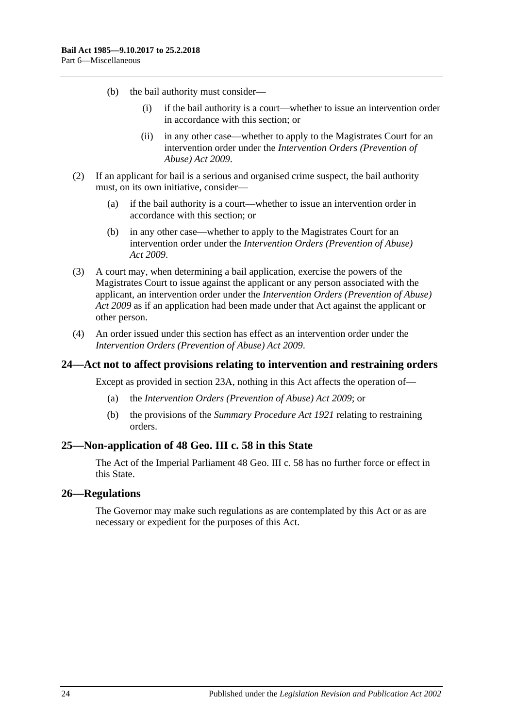- (b) the bail authority must consider—
	- (i) if the bail authority is a court—whether to issue an intervention order in accordance with this section; or
	- (ii) in any other case—whether to apply to the Magistrates Court for an intervention order under the *[Intervention Orders \(Prevention of](http://www.legislation.sa.gov.au/index.aspx?action=legref&type=act&legtitle=Intervention%20Orders%20(Prevention%20of%20Abuse)%20Act%202009)  [Abuse\) Act](http://www.legislation.sa.gov.au/index.aspx?action=legref&type=act&legtitle=Intervention%20Orders%20(Prevention%20of%20Abuse)%20Act%202009) 2009*.
- (2) If an applicant for bail is a serious and organised crime suspect, the bail authority must, on its own initiative, consider—
	- (a) if the bail authority is a court—whether to issue an intervention order in accordance with this section; or
	- (b) in any other case—whether to apply to the Magistrates Court for an intervention order under the *[Intervention Orders \(Prevention of Abuse\)](http://www.legislation.sa.gov.au/index.aspx?action=legref&type=act&legtitle=Intervention%20Orders%20(Prevention%20of%20Abuse)%20Act%202009)  Act [2009](http://www.legislation.sa.gov.au/index.aspx?action=legref&type=act&legtitle=Intervention%20Orders%20(Prevention%20of%20Abuse)%20Act%202009)*.
- (3) A court may, when determining a bail application, exercise the powers of the Magistrates Court to issue against the applicant or any person associated with the applicant, an intervention order under the *[Intervention Orders \(Prevention of Abuse\)](http://www.legislation.sa.gov.au/index.aspx?action=legref&type=act&legtitle=Intervention%20Orders%20(Prevention%20of%20Abuse)%20Act%202009)  Act [2009](http://www.legislation.sa.gov.au/index.aspx?action=legref&type=act&legtitle=Intervention%20Orders%20(Prevention%20of%20Abuse)%20Act%202009)* as if an application had been made under that Act against the applicant or other person.
- (4) An order issued under this section has effect as an intervention order under the *[Intervention Orders \(Prevention of Abuse\) Act](http://www.legislation.sa.gov.au/index.aspx?action=legref&type=act&legtitle=Intervention%20Orders%20(Prevention%20of%20Abuse)%20Act%202009) 2009*.

#### <span id="page-23-0"></span>**24—Act not to affect provisions relating to intervention and restraining orders**

Except as provided in [section](#page-22-3) 23A, nothing in this Act affects the operation of—

- (a) the *[Intervention Orders \(Prevention of Abuse\) Act](http://www.legislation.sa.gov.au/index.aspx?action=legref&type=act&legtitle=Intervention%20Orders%20(Prevention%20of%20Abuse)%20Act%202009) 2009*; or
- (b) the provisions of the *[Summary Procedure Act](http://www.legislation.sa.gov.au/index.aspx?action=legref&type=act&legtitle=Summary%20Procedure%20Act%201921) 1921* relating to restraining orders.

### <span id="page-23-1"></span>**25—Non-application of 48 Geo. III c. 58 in this State**

The Act of the Imperial Parliament 48 Geo. III c. 58 has no further force or effect in this State.

#### <span id="page-23-2"></span>**26—Regulations**

The Governor may make such regulations as are contemplated by this Act or as are necessary or expedient for the purposes of this Act.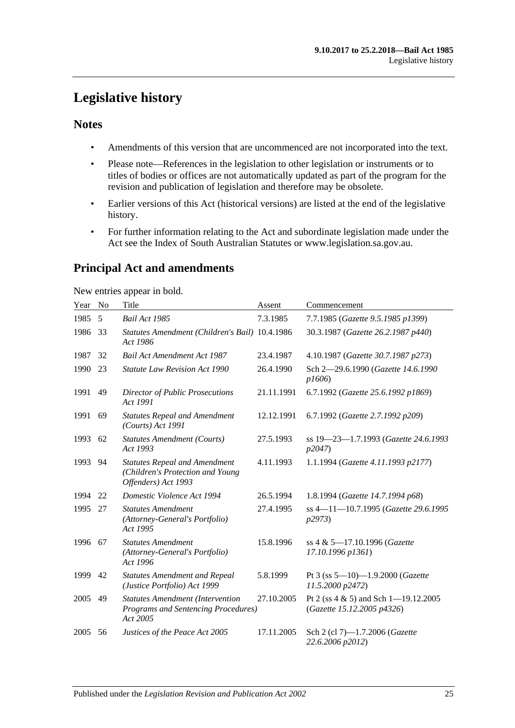# <span id="page-24-0"></span>**Legislative history**

# **Notes**

- Amendments of this version that are uncommenced are not incorporated into the text.
- Please note—References in the legislation to other legislation or instruments or to titles of bodies or offices are not automatically updated as part of the program for the revision and publication of legislation and therefore may be obsolete.
- Earlier versions of this Act (historical versions) are listed at the end of the legislative history.
- For further information relating to the Act and subordinate legislation made under the Act see the Index of South Australian Statutes or www.legislation.sa.gov.au.

# **Principal Act and amendments**

New entries appear in bold.

| Year | No | Title                                                                                           | Assent     | Commencement                                                           |
|------|----|-------------------------------------------------------------------------------------------------|------------|------------------------------------------------------------------------|
| 1985 | 5  | Bail Act 1985                                                                                   | 7.3.1985   | 7.7.1985 (Gazette 9.5.1985 p1399)                                      |
| 1986 | 33 | Statutes Amendment (Children's Bail) 10.4.1986<br>Act 1986                                      |            | 30.3.1987 (Gazette 26.2.1987 p440)                                     |
| 1987 | 32 | <b>Bail Act Amendment Act 1987</b>                                                              | 23.4.1987  | 4.10.1987 (Gazette 30.7.1987 p273)                                     |
| 1990 | 23 | <b>Statute Law Revision Act 1990</b>                                                            | 26.4.1990  | Sch 2-29.6.1990 (Gazette 14.6.1990<br>p1606                            |
| 1991 | 49 | <b>Director of Public Prosecutions</b><br>Act 1991                                              | 21.11.1991 | 6.7.1992 (Gazette 25.6.1992 p1869)                                     |
| 1991 | 69 | <b>Statutes Repeal and Amendment</b><br>(Courts) Act 1991                                       | 12.12.1991 | 6.7.1992 (Gazette 2.7.1992 p209)                                       |
| 1993 | 62 | <b>Statutes Amendment (Courts)</b><br>Act 1993                                                  | 27.5.1993  | ss 19-23-1.7.1993 (Gazette 24.6.1993<br>p2047                          |
| 1993 | 94 | <b>Statutes Repeal and Amendment</b><br>(Children's Protection and Young<br>Offenders) Act 1993 | 4.11.1993  | 1.1.1994 (Gazette 4.11.1993 p2177)                                     |
| 1994 | 22 | Domestic Violence Act 1994                                                                      | 26.5.1994  | 1.8.1994 (Gazette 14.7.1994 p68)                                       |
| 1995 | 27 | <b>Statutes Amendment</b><br>(Attorney-General's Portfolio)<br>Act 1995                         | 27.4.1995  | ss 4-11-10.7.1995 (Gazette 29.6.1995<br>p2973                          |
| 1996 | 67 | <b>Statutes Amendment</b><br>(Attorney-General's Portfolio)<br>Act 1996                         | 15.8.1996  | ss 4 & 5-17.10.1996 (Gazette<br>17.10.1996 p1361)                      |
| 1999 | 42 | <b>Statutes Amendment and Repeal</b><br>(Justice Portfolio) Act 1999                            | 5.8.1999   | Pt 3 (ss $5-10$ )-1.9.2000 (Gazette<br>11.5.2000 p2472)                |
| 2005 | 49 | <b>Statutes Amendment (Intervention</b><br>Programs and Sentencing Procedures)<br>Act 2005      | 27.10.2005 | Pt 2 (ss $4 \& 5$ ) and Sch 1-19.12.2005<br>(Gazette 15.12.2005 p4326) |
| 2005 | 56 | Justices of the Peace Act 2005                                                                  | 17.11.2005 | Sch 2 (cl 7)-1.7.2006 (Gazette<br>22.6.2006 p2012)                     |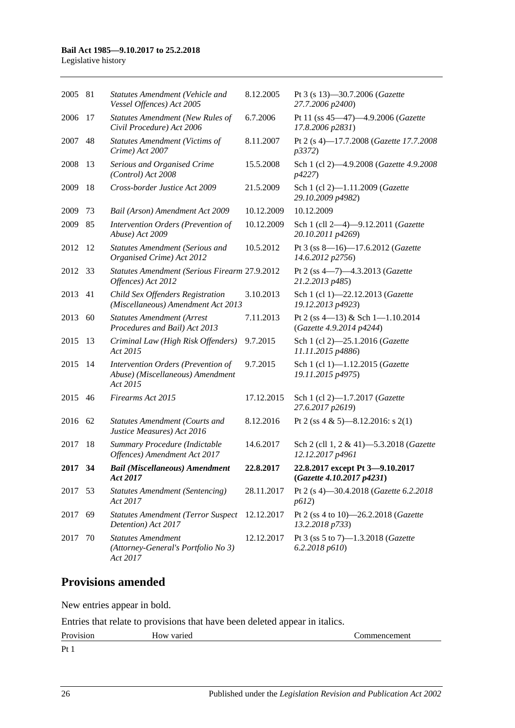#### **Bail Act 1985—9.10.2017 to 25.2.2018**

Legislative history

| 2005 | 81 | <b>Statutes Amendment (Vehicle and</b><br>Vessel Offences) Act 2005                | 8.12.2005  | Pt 3 (s 13)-30.7.2006 (Gazette<br>27.7.2006 p2400)           |
|------|----|------------------------------------------------------------------------------------|------------|--------------------------------------------------------------|
| 2006 | 17 | <b>Statutes Amendment (New Rules of</b><br>Civil Procedure) Act 2006               | 6.7.2006   | Pt 11 (ss 45-47)-4.9.2006 (Gazette<br>17.8.2006 p2831)       |
| 2007 | 48 | <b>Statutes Amendment (Victims of</b><br>Crime) Act 2007                           | 8.11.2007  | Pt 2 (s 4)-17.7.2008 (Gazette 17.7.2008<br><i>p</i> 3372)    |
| 2008 | 13 | Serious and Organised Crime<br>(Control) Act 2008                                  | 15.5.2008  | Sch 1 (cl 2)-4.9.2008 (Gazette 4.9.2008<br>p4227)            |
| 2009 | 18 | Cross-border Justice Act 2009                                                      | 21.5.2009  | Sch 1 (cl 2)-1.11.2009 (Gazette<br>29.10.2009 p4982)         |
| 2009 | 73 | Bail (Arson) Amendment Act 2009                                                    | 10.12.2009 | 10.12.2009                                                   |
| 2009 | 85 | Intervention Orders (Prevention of<br>Abuse) Act 2009                              | 10.12.2009 | Sch 1 (cll 2-4)-9.12.2011 (Gazette<br>20.10.2011 p4269)      |
| 2012 | 12 | <b>Statutes Amendment (Serious and</b><br>Organised Crime) Act 2012                | 10.5.2012  | Pt 3 (ss 8-16)-17.6.2012 (Gazette<br>14.6.2012 p2756)        |
| 2012 | 33 | Statutes Amendment (Serious Firearm 27.9.2012<br>Offences) Act 2012                |            | Pt 2 (ss 4-7)-4.3.2013 (Gazette<br>21.2.2013 p485)           |
| 2013 | 41 | Child Sex Offenders Registration<br>(Miscellaneous) Amendment Act 2013             | 3.10.2013  | Sch 1 (cl 1)-22.12.2013 (Gazette<br>19.12.2013 p4923)        |
| 2013 | 60 | <b>Statutes Amendment (Arrest</b><br>Procedures and Bail) Act 2013                 | 7.11.2013  | Pt 2 (ss 4-13) & Sch 1-1.10.2014<br>(Gazette 4.9.2014 p4244) |
| 2015 | 13 | Criminal Law (High Risk Offenders)<br>Act 2015                                     | 9.7.2015   | Sch 1 (cl 2)-25.1.2016 (Gazette<br>11.11.2015 p4886)         |
| 2015 | 14 | Intervention Orders (Prevention of<br>Abuse) (Miscellaneous) Amendment<br>Act 2015 | 9.7.2015   | Sch 1 (cl 1)-1.12.2015 (Gazette<br>19.11.2015 p4975)         |
| 2015 | 46 | Firearms Act 2015                                                                  | 17.12.2015 | Sch 1 (cl 2)-1.7.2017 (Gazette<br>27.6.2017 p2619)           |
| 2016 | 62 | <b>Statutes Amendment (Courts and</b><br>Justice Measures) Act 2016                | 8.12.2016  | Pt 2 (ss 4 & 5)-8.12.2016: s 2(1)                            |
| 2017 | 18 | Summary Procedure (Indictable<br>Offences) Amendment Act 2017                      | 14.6.2017  | Sch 2 (cll 1, 2 & 41)-5.3.2018 (Gazette<br>12.12.2017 p4961  |
| 2017 | 34 | <b>Bail (Miscellaneous) Amendment</b><br>Act 2017                                  | 22.8.2017  | 22.8.2017 except Pt 3-9.10.2017<br>(Gazette 4.10.2017 p4231) |
| 2017 | 53 | <b>Statutes Amendment (Sentencing)</b><br>Act 2017                                 | 28.11.2017 | Pt 2 (s 4)-30.4.2018 (Gazette 6.2.2018<br>p612)              |
| 2017 | 69 | <b>Statutes Amendment (Terror Suspect</b><br>Detention) Act 2017                   | 12.12.2017 | Pt 2 (ss 4 to 10)-26.2.2018 (Gazette<br>13.2.2018 p733)      |
| 2017 | 70 | <b>Statutes Amendment</b><br>(Attorney-General's Portfolio No 3)<br>Act 2017       | 12.12.2017 | Pt 3 (ss 5 to 7)-1.3.2018 (Gazette<br>6.2.2018 p610          |

# **Provisions amended**

New entries appear in bold.

Entries that relate to provisions that have been deleted appear in italics.

| $\mathbf{p}_{r}$<br>191011<br>11 U | - -<br>11,<br>. | лнеш<br>. |
|------------------------------------|-----------------|-----------|
| $\mathbf{D}$ . 1                   |                 |           |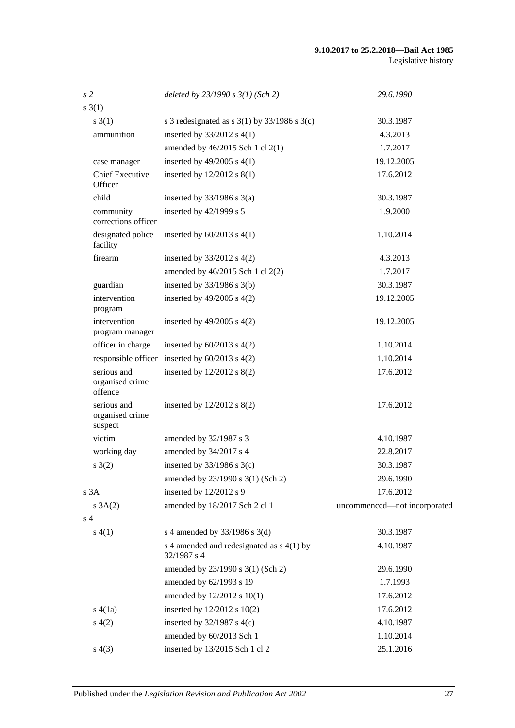#### **9.10.2017 to 25.2.2018—Bail Act 1985** Legislative history

| s <sub>2</sub>                            | deleted by $23/1990 s 3(1)$ (Sch 2)                      | 29.6.1990                    |
|-------------------------------------------|----------------------------------------------------------|------------------------------|
| $s \; 3(1)$                               |                                                          |                              |
| s(3(1))                                   | s 3 redesignated as s $3(1)$ by $33/1986$ s $3(c)$       | 30.3.1987                    |
| ammunition                                | inserted by $33/2012$ s 4(1)                             | 4.3.2013                     |
|                                           | amended by 46/2015 Sch 1 cl 2(1)                         | 1.7.2017                     |
| case manager                              | inserted by $49/2005$ s $4(1)$                           | 19.12.2005                   |
| <b>Chief Executive</b><br>Officer         | inserted by 12/2012 s 8(1)                               | 17.6.2012                    |
| child                                     | inserted by $33/1986$ s $3(a)$                           | 30.3.1987                    |
| community<br>corrections officer          | inserted by 42/1999 s 5                                  | 1.9.2000                     |
| designated police<br>facility             | inserted by $60/2013$ s $4(1)$                           | 1.10.2014                    |
| firearm                                   | inserted by $33/2012$ s $4(2)$                           | 4.3.2013                     |
|                                           | amended by 46/2015 Sch 1 cl 2(2)                         | 1.7.2017                     |
| guardian                                  | inserted by $33/1986$ s $3(b)$                           | 30.3.1987                    |
| intervention<br>program                   | inserted by $49/2005$ s $4(2)$                           | 19.12.2005                   |
| intervention<br>program manager           | inserted by $49/2005$ s $4(2)$                           | 19.12.2005                   |
| officer in charge                         | inserted by $60/2013$ s $4(2)$                           | 1.10.2014                    |
| responsible officer                       | inserted by $60/2013$ s $4(2)$                           | 1.10.2014                    |
| serious and<br>organised crime<br>offence | inserted by 12/2012 s 8(2)                               | 17.6.2012                    |
| serious and<br>organised crime<br>suspect | inserted by 12/2012 s 8(2)                               | 17.6.2012                    |
| victim                                    | amended by 32/1987 s 3                                   | 4.10.1987                    |
| working day                               | amended by 34/2017 s 4                                   | 22.8.2017                    |
| s(2)                                      | inserted by $33/1986$ s $3(c)$                           | 30.3.1987                    |
|                                           | amended by 23/1990 s 3(1) (Sch 2)                        | 29.6.1990                    |
| s <sub>3A</sub>                           | inserted by 12/2012 s 9                                  | 17.6.2012                    |
| s 3A(2)                                   | amended by 18/2017 Sch 2 cl 1                            | uncommenced-not incorporated |
| s <sub>4</sub>                            |                                                          |                              |
| s(4(1))                                   | s 4 amended by $33/1986$ s 3(d)                          | 30.3.1987                    |
|                                           | s 4 amended and redesignated as s 4(1) by<br>32/1987 s 4 | 4.10.1987                    |
|                                           | amended by 23/1990 s 3(1) (Sch 2)                        | 29.6.1990                    |
|                                           | amended by 62/1993 s 19                                  | 1.7.1993                     |
|                                           | amended by 12/2012 s 10(1)                               | 17.6.2012                    |
| s(4(1a))                                  | inserted by 12/2012 s 10(2)                              | 17.6.2012                    |
| s(4(2)                                    | inserted by $32/1987$ s 4(c)                             | 4.10.1987                    |
|                                           | amended by 60/2013 Sch 1                                 | 1.10.2014                    |
| s(4(3))                                   | inserted by 13/2015 Sch 1 cl 2                           | 25.1.2016                    |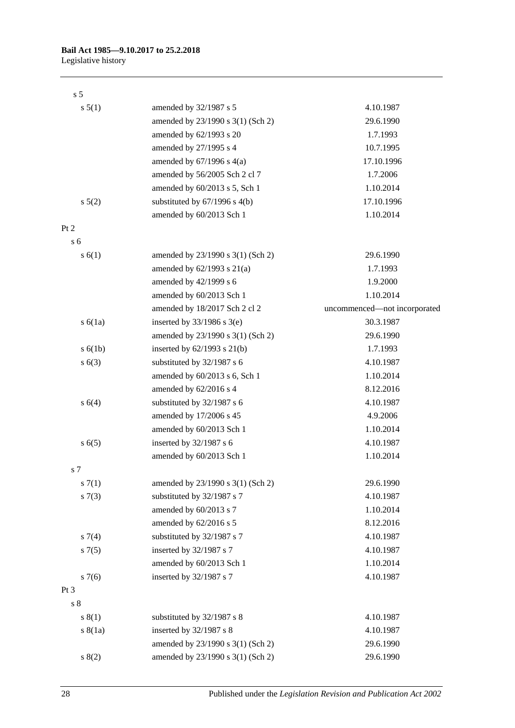Legislative history

| s <sub>5</sub>   |                                   |                              |
|------------------|-----------------------------------|------------------------------|
| s 5(1)           | amended by 32/1987 s 5            | 4.10.1987                    |
|                  | amended by 23/1990 s 3(1) (Sch 2) | 29.6.1990                    |
|                  | amended by 62/1993 s 20           | 1.7.1993                     |
|                  | amended by 27/1995 s 4            | 10.7.1995                    |
|                  | amended by $67/1996$ s $4(a)$     | 17.10.1996                   |
|                  | amended by 56/2005 Sch 2 cl 7     | 1.7.2006                     |
|                  | amended by 60/2013 s 5, Sch 1     | 1.10.2014                    |
| $s\ 5(2)$        | substituted by $67/1996$ s $4(b)$ | 17.10.1996                   |
|                  | amended by 60/2013 Sch 1          | 1.10.2014                    |
| Pt 2             |                                   |                              |
| $\overline{s}$ 6 |                                   |                              |
| s(6(1))          | amended by 23/1990 s 3(1) (Sch 2) | 29.6.1990                    |
|                  | amended by $62/1993$ s $21(a)$    | 1.7.1993                     |
|                  | amended by 42/1999 s 6            | 1.9.2000                     |
|                  | amended by 60/2013 Sch 1          | 1.10.2014                    |
|                  | amended by 18/2017 Sch 2 cl 2     | uncommenced—not incorporated |
| s(6(1a))         | inserted by $33/1986$ s $3(e)$    | 30.3.1987                    |
|                  | amended by 23/1990 s 3(1) (Sch 2) | 29.6.1990                    |
| s(6(1b))         | inserted by $62/1993$ s $21(b)$   | 1.7.1993                     |
| s(6(3))          | substituted by 32/1987 s 6        | 4.10.1987                    |
|                  | amended by 60/2013 s 6, Sch 1     | 1.10.2014                    |
|                  | amended by 62/2016 s 4            | 8.12.2016                    |
| s(4)             | substituted by 32/1987 s 6        | 4.10.1987                    |
|                  | amended by 17/2006 s 45           | 4.9.2006                     |
|                  | amended by 60/2013 Sch 1          | 1.10.2014                    |
| s(6(5)           | inserted by 32/1987 s 6           | 4.10.1987                    |
|                  | amended by 60/2013 Sch 1          | 1.10.2014                    |
| s 7              |                                   |                              |
| s(7(1)           | amended by 23/1990 s 3(1) (Sch 2) | 29.6.1990                    |
| s(7(3))          | substituted by 32/1987 s 7        | 4.10.1987                    |
|                  | amended by 60/2013 s 7            | 1.10.2014                    |
|                  | amended by 62/2016 s 5            | 8.12.2016                    |
| $s \, 7(4)$      | substituted by 32/1987 s 7        | 4.10.1987                    |
| $s \, 7(5)$      | inserted by 32/1987 s 7           | 4.10.1987                    |
|                  | amended by 60/2013 Sch 1          | 1.10.2014                    |
| $s \, 7(6)$      | inserted by 32/1987 s 7           | 4.10.1987                    |
| Pt <sub>3</sub>  |                                   |                              |
| s <sub>8</sub>   |                                   |                              |
| s(1)             | substituted by 32/1987 s 8        | 4.10.1987                    |
| s(8(1a))         | inserted by 32/1987 s 8           | 4.10.1987                    |
|                  | amended by 23/1990 s 3(1) (Sch 2) | 29.6.1990                    |
| s(2)             | amended by 23/1990 s 3(1) (Sch 2) | 29.6.1990                    |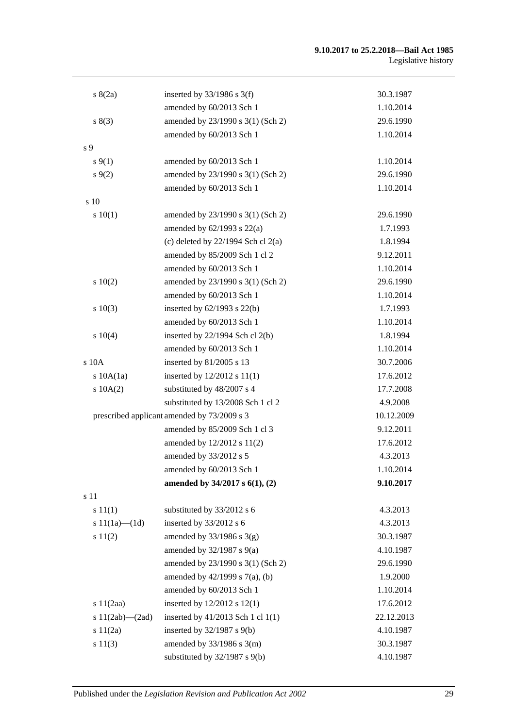#### **9.10.2017 to 25.2.2018—Bail Act 1985** Legislative history

| s(2a)                 | inserted by $33/1986$ s 3(f)                | 30.3.1987  |
|-----------------------|---------------------------------------------|------------|
|                       | amended by 60/2013 Sch 1                    | 1.10.2014  |
| s(3)                  | amended by 23/1990 s 3(1) (Sch 2)           | 29.6.1990  |
|                       | amended by 60/2013 Sch 1                    | 1.10.2014  |
| s 9                   |                                             |            |
| $s\,9(1)$             | amended by 60/2013 Sch 1                    | 1.10.2014  |
| $s \, 9(2)$           | amended by 23/1990 s 3(1) (Sch 2)           | 29.6.1990  |
|                       | amended by 60/2013 Sch 1                    | 1.10.2014  |
| s 10                  |                                             |            |
| 10(1)                 | amended by 23/1990 s 3(1) (Sch 2)           | 29.6.1990  |
|                       | amended by $62/1993$ s $22(a)$              | 1.7.1993   |
|                       | (c) deleted by $22/1994$ Sch cl $2(a)$      | 1.8.1994   |
|                       | amended by 85/2009 Sch 1 cl 2               | 9.12.2011  |
|                       | amended by 60/2013 Sch 1                    | 1.10.2014  |
| 10(2)                 | amended by 23/1990 s 3(1) (Sch 2)           | 29.6.1990  |
|                       | amended by 60/2013 Sch 1                    | 1.10.2014  |
| s 10(3)               | inserted by 62/1993 s 22(b)                 | 1.7.1993   |
|                       | amended by 60/2013 Sch 1                    | 1.10.2014  |
| s 10(4)               | inserted by 22/1994 Sch cl 2(b)             | 1.8.1994   |
|                       | amended by 60/2013 Sch 1                    | 1.10.2014  |
| s 10A                 | inserted by 81/2005 s 13                    | 30.7.2006  |
| $s$ 10A $(1a)$        | inserted by 12/2012 s 11(1)                 | 17.6.2012  |
| s 10A(2)              | substituted by 48/2007 s 4                  | 17.7.2008  |
|                       | substituted by 13/2008 Sch 1 cl 2           | 4.9.2008   |
|                       | prescribed applicant amended by 73/2009 s 3 | 10.12.2009 |
|                       | amended by 85/2009 Sch 1 cl 3               | 9.12.2011  |
|                       | amended by 12/2012 s 11(2)                  | 17.6.2012  |
|                       | amended by 33/2012 s 5                      | 4.3.2013   |
|                       | amended by 60/2013 Sch 1                    | 1.10.2014  |
|                       | amended by $34/2017$ s $6(1)$ , (2)         | 9.10.2017  |
| s 11                  |                                             |            |
| s 11(1)               | substituted by 33/2012 s 6                  | 4.3.2013   |
| s $11(1a)$ — $(1d)$   | inserted by 33/2012 s 6                     | 4.3.2013   |
| s 11(2)               | amended by $33/1986$ s $3(g)$               | 30.3.1987  |
|                       | amended by $32/1987$ s $9(a)$               | 4.10.1987  |
|                       | amended by 23/1990 s 3(1) (Sch 2)           | 29.6.1990  |
|                       | amended by 42/1999 s 7(a), (b)              | 1.9.2000   |
|                       | amended by 60/2013 Sch 1                    | 1.10.2014  |
| s $11(2aa)$           | inserted by 12/2012 s 12(1)                 | 17.6.2012  |
| s $11(2ab)$ - $(2ad)$ | inserted by 41/2013 Sch 1 cl 1(1)           | 22.12.2013 |
| s 11(2a)              | inserted by 32/1987 s 9(b)                  | 4.10.1987  |
| s 11(3)               | amended by $33/1986$ s $3(m)$               | 30.3.1987  |
|                       | substituted by $32/1987$ s $9(b)$           | 4.10.1987  |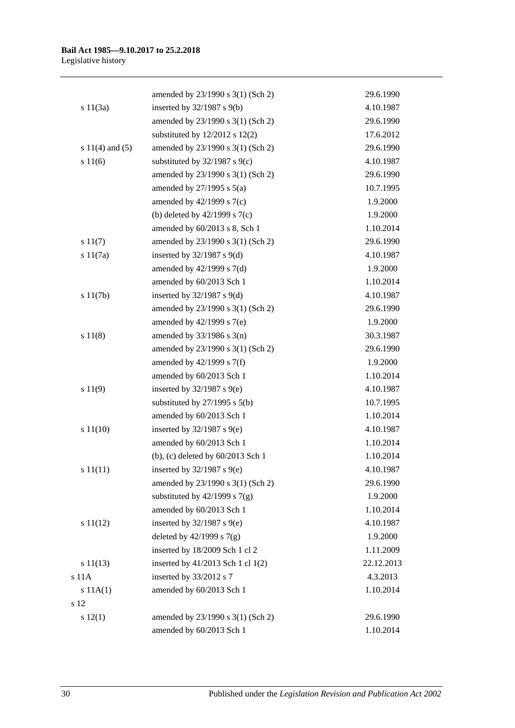|                     | amended by 23/1990 s 3(1) (Sch 2)  | 29.6.1990  |
|---------------------|------------------------------------|------------|
| s 11(3a)            | inserted by $32/1987$ s $9(b)$     | 4.10.1987  |
|                     | amended by 23/1990 s 3(1) (Sch 2)  | 29.6.1990  |
|                     | substituted by $12/2012$ s $12(2)$ | 17.6.2012  |
| s $11(4)$ and $(5)$ | amended by 23/1990 s 3(1) (Sch 2)  | 29.6.1990  |
| s 11(6)             | substituted by $32/1987$ s $9(c)$  | 4.10.1987  |
|                     | amended by 23/1990 s 3(1) (Sch 2)  | 29.6.1990  |
|                     | amended by $27/1995$ s $5(a)$      | 10.7.1995  |
|                     | amended by $42/1999$ s $7(c)$      | 1.9.2000   |
|                     | (b) deleted by $42/1999$ s $7(c)$  | 1.9.2000   |
|                     | amended by 60/2013 s 8, Sch 1      | 1.10.2014  |
| s 11(7)             | amended by 23/1990 s 3(1) (Sch 2)  | 29.6.1990  |
| s 11(7a)            | inserted by $32/1987$ s $9(d)$     | 4.10.1987  |
|                     | amended by 42/1999 s 7(d)          | 1.9.2000   |
|                     | amended by 60/2013 Sch 1           | 1.10.2014  |
| s 11(7b)            | inserted by $32/1987$ s $9(d)$     | 4.10.1987  |
|                     | amended by 23/1990 s 3(1) (Sch 2)  | 29.6.1990  |
|                     | amended by $42/1999$ s $7(e)$      | 1.9.2000   |
| s 11(8)             | amended by $33/1986$ s $3(n)$      | 30.3.1987  |
|                     | amended by 23/1990 s 3(1) (Sch 2)  | 29.6.1990  |
|                     | amended by $42/1999$ s $7(f)$      | 1.9.2000   |
|                     | amended by 60/2013 Sch 1           | 1.10.2014  |
| s 11(9)             | inserted by $32/1987$ s $9(e)$     | 4.10.1987  |
|                     | substituted by $27/1995$ s $5(b)$  | 10.7.1995  |
|                     | amended by 60/2013 Sch 1           | 1.10.2014  |
| s 11(10)            | inserted by $32/1987$ s $9(e)$     | 4.10.1987  |
|                     | amended by 60/2013 Sch 1           | 1.10.2014  |
|                     | (b), (c) deleted by 60/2013 Sch 1  | 1.10.2014  |
| s 11(11)            | inserted by $32/1987$ s $9(e)$     | 4.10.1987  |
|                     | amended by 23/1990 s 3(1) (Sch 2)  | 29.6.1990  |
|                     | substituted by $42/1999$ s $7(g)$  | 1.9.2000   |
|                     | amended by 60/2013 Sch 1           | 1.10.2014  |
| s 11(12)            | inserted by $32/1987$ s $9(e)$     | 4.10.1987  |
|                     | deleted by $42/1999$ s $7(g)$      | 1.9.2000   |
|                     | inserted by 18/2009 Sch 1 cl 2     | 1.11.2009  |
| s 11(13)            | inserted by 41/2013 Sch 1 cl 1(2)  | 22.12.2013 |
| $s$ 11 $A$          | inserted by 33/2012 s 7            | 4.3.2013   |
| s 11A(1)            | amended by 60/2013 Sch 1           | 1.10.2014  |
| s 12                |                                    |            |
| s 12(1)             | amended by 23/1990 s 3(1) (Sch 2)  | 29.6.1990  |
|                     | amended by 60/2013 Sch 1           | 1.10.2014  |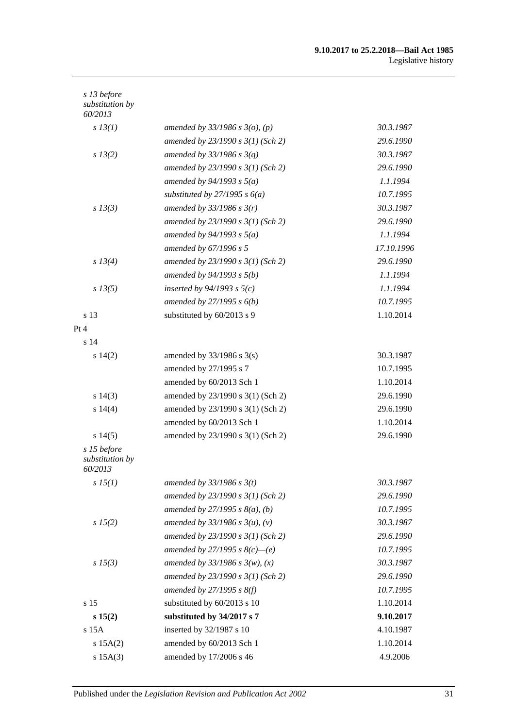#### **9.10.2017 to 25.2.2018—Bail Act 1985** Legislative history

| s 13 before<br>substitution by<br>60/2013 |                                     |            |
|-------------------------------------------|-------------------------------------|------------|
| $s$ 13(1)                                 | amended by $33/1986$ s $3(o)$ , (p) | 30.3.1987  |
|                                           | amended by 23/1990 s 3(1) (Sch 2)   | 29.6.1990  |
| $s\,13(2)$                                | amended by $33/1986 s 3(q)$         | 30.3.1987  |
|                                           | amended by $23/1990 s 3(1)$ (Sch 2) | 29.6.1990  |
|                                           | amended by $94/1993$ s $5(a)$       | 1.1.1994   |
|                                           | substituted by $27/1995 s 6(a)$     | 10.7.1995  |
| $s$ 13(3)                                 | amended by $33/1986$ s $3(r)$       | 30.3.1987  |
|                                           | amended by $23/1990 s 3(1)$ (Sch 2) | 29.6.1990  |
|                                           | amended by $94/1993$ s $5(a)$       | 1.1.1994   |
|                                           | amended by 67/1996 s 5              | 17.10.1996 |
| $s\,13(4)$                                | amended by $23/1990 s 3(1)$ (Sch 2) | 29.6.1990  |
|                                           | amended by $94/1993 s 5(b)$         | 1.1.1994   |
| $s\,13(5)$                                | inserted by $94/1993$ s $5(c)$      | 1.1.1994   |
|                                           | amended by $27/1995 s 6(b)$         | 10.7.1995  |
| s 13                                      | substituted by 60/2013 s 9          | 1.10.2014  |
| Pt 4                                      |                                     |            |
| s <sub>14</sub>                           |                                     |            |
| s14(2)                                    | amended by $33/1986$ s $3(s)$       | 30.3.1987  |
|                                           | amended by 27/1995 s 7              | 10.7.1995  |
|                                           | amended by 60/2013 Sch 1            | 1.10.2014  |
| s 14(3)                                   | amended by 23/1990 s 3(1) (Sch 2)   | 29.6.1990  |
| s 14(4)                                   | amended by 23/1990 s 3(1) (Sch 2)   | 29.6.1990  |
|                                           | amended by 60/2013 Sch 1            | 1.10.2014  |
| s14(5)                                    | amended by 23/1990 s 3(1) (Sch 2)   | 29.6.1990  |
| s 15 before<br>substitution by<br>60/2013 |                                     |            |
| sI5(1)                                    | amended by $33/1986$ s $3(t)$       | 30.3.1987  |
|                                           | amended by 23/1990 s 3(1) (Sch 2)   | 29.6.1990  |
|                                           | amended by $27/1995 s 8(a)$ , (b)   | 10.7.1995  |
| s 15(2)                                   | amended by $33/1986 s 3(u)$ , (v)   | 30.3.1987  |
|                                           | amended by 23/1990 s 3(1) (Sch 2)   | 29.6.1990  |
|                                           | amended by 27/1995 s $8(c)$ —(e)    | 10.7.1995  |
| $s\,15(3)$                                | amended by $33/1986 s 3(w)$ , (x)   | 30.3.1987  |
|                                           | amended by $23/1990 s 3(1)$ (Sch 2) | 29.6.1990  |
|                                           | amended by $27/1995$ s $8(f)$       | 10.7.1995  |
| s 15                                      | substituted by 60/2013 s 10         | 1.10.2014  |
| s 15(2)                                   | substituted by 34/2017 s 7          | 9.10.2017  |
| s 15A                                     | inserted by 32/1987 s 10            | 4.10.1987  |
| s 15A(2)                                  | amended by 60/2013 Sch 1            | 1.10.2014  |
| $s$ 15A $(3)$                             | amended by 17/2006 s 46             | 4.9.2006   |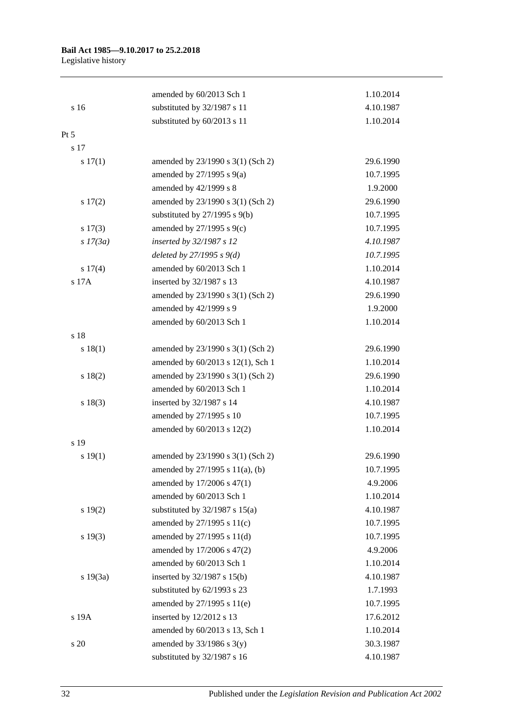|            | amended by 60/2013 Sch 1          | 1.10.2014 |
|------------|-----------------------------------|-----------|
| s 16       | substituted by 32/1987 s 11       | 4.10.1987 |
|            | substituted by 60/2013 s 11       | 1.10.2014 |
| Pt 5       |                                   |           |
| s 17       |                                   |           |
| s 17(1)    | amended by 23/1990 s 3(1) (Sch 2) | 29.6.1990 |
|            | amended by $27/1995$ s $9(a)$     | 10.7.1995 |
|            | amended by 42/1999 s 8            | 1.9.2000  |
| s 17(2)    | amended by 23/1990 s 3(1) (Sch 2) | 29.6.1990 |
|            | substituted by $27/1995$ s $9(b)$ | 10.7.1995 |
| s 17(3)    | amended by 27/1995 s 9(c)         | 10.7.1995 |
| $s$ 17(3a) | inserted by 32/1987 s 12          | 4.10.1987 |
|            | deleted by $27/1995 s 9(d)$       | 10.7.1995 |
| s 17(4)    | amended by 60/2013 Sch 1          | 1.10.2014 |
| s 17A      | inserted by 32/1987 s 13          | 4.10.1987 |
|            | amended by 23/1990 s 3(1) (Sch 2) | 29.6.1990 |
|            | amended by 42/1999 s 9            | 1.9.2000  |
|            | amended by 60/2013 Sch 1          | 1.10.2014 |
| s 18       |                                   |           |
| s 18(1)    | amended by 23/1990 s 3(1) (Sch 2) | 29.6.1990 |
|            | amended by 60/2013 s 12(1), Sch 1 | 1.10.2014 |
| s 18(2)    | amended by 23/1990 s 3(1) (Sch 2) | 29.6.1990 |
|            | amended by 60/2013 Sch 1          | 1.10.2014 |
| s 18(3)    | inserted by 32/1987 s 14          | 4.10.1987 |
|            | amended by 27/1995 s 10           | 10.7.1995 |
|            | amended by 60/2013 s 12(2)        | 1.10.2014 |
| s 19       |                                   |           |
| s 19(1)    | amended by 23/1990 s 3(1) (Sch 2) | 29.6.1990 |
|            | amended by 27/1995 s 11(a), (b)   | 10.7.1995 |
|            | amended by 17/2006 s 47(1)        | 4.9.2006  |
|            | amended by 60/2013 Sch 1          | 1.10.2014 |
| s 19(2)    | substituted by 32/1987 s 15(a)    | 4.10.1987 |
|            | amended by 27/1995 s 11(c)        | 10.7.1995 |
| s 19(3)    | amended by 27/1995 s 11(d)        | 10.7.1995 |
|            | amended by 17/2006 s 47(2)        | 4.9.2006  |
|            | amended by 60/2013 Sch 1          | 1.10.2014 |
| s 19(3a)   | inserted by 32/1987 s 15(b)       | 4.10.1987 |
|            | substituted by 62/1993 s 23       | 1.7.1993  |
|            | amended by 27/1995 s 11(e)        | 10.7.1995 |
| s 19A      | inserted by 12/2012 s 13          | 17.6.2012 |
|            | amended by 60/2013 s 13, Sch 1    | 1.10.2014 |
| s 20       | amended by $33/1986$ s $3(y)$     | 30.3.1987 |
|            | substituted by 32/1987 s 16       | 4.10.1987 |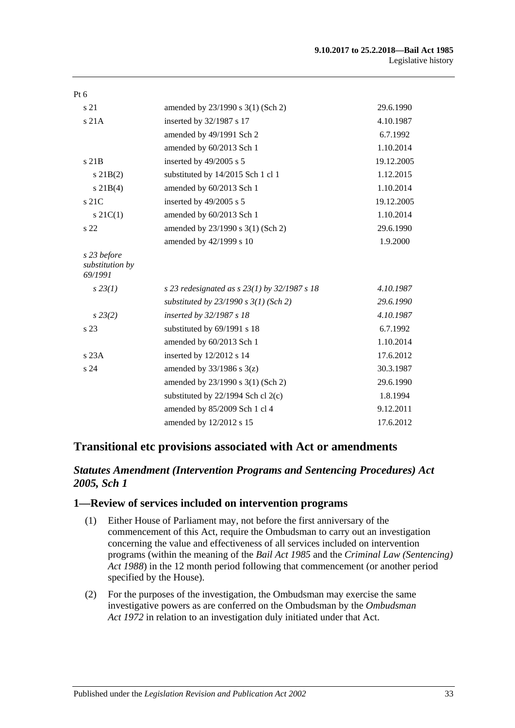| amended by 23/1990 s 3(1) (Sch 2)                | 29.6.1990  |
|--------------------------------------------------|------------|
| inserted by 32/1987 s 17                         | 4.10.1987  |
| amended by 49/1991 Sch 2                         | 6.7.1992   |
| amended by 60/2013 Sch 1                         | 1.10.2014  |
| inserted by 49/2005 s 5                          | 19.12.2005 |
| substituted by 14/2015 Sch 1 cl 1                | 1.12.2015  |
| amended by 60/2013 Sch 1                         | 1.10.2014  |
| inserted by 49/2005 s 5                          | 19.12.2005 |
| amended by 60/2013 Sch 1                         | 1.10.2014  |
| amended by 23/1990 s 3(1) (Sch 2)                | 29.6.1990  |
| amended by 42/1999 s 10                          | 1.9.2000   |
|                                                  |            |
| s 23 redesignated as s $23(1)$ by $32/1987$ s 18 | 4.10.1987  |
| substituted by $23/1990 s 3(1)$ (Sch 2)          | 29.6.1990  |
| inserted by 32/1987 s 18                         | 4.10.1987  |
| substituted by 69/1991 s 18                      | 6.7.1992   |
| amended by 60/2013 Sch 1                         | 1.10.2014  |
| inserted by 12/2012 s 14                         | 17.6.2012  |
| amended by $33/1986$ s $3(z)$                    | 30.3.1987  |
| amended by 23/1990 s 3(1) (Sch 2)                | 29.6.1990  |
| substituted by $22/1994$ Sch cl $2(c)$           | 1.8.1994   |
| amended by 85/2009 Sch 1 cl 4                    | 9.12.2011  |
| amended by 12/2012 s 15                          | 17.6.2012  |
|                                                  |            |

# **Transitional etc provisions associated with Act or amendments**

# *Statutes Amendment (Intervention Programs and Sentencing Procedures) Act 2005, Sch 1*

# **1—Review of services included on intervention programs**

- (1) Either House of Parliament may, not before the first anniversary of the commencement of this Act, require the Ombudsman to carry out an investigation concerning the value and effectiveness of all services included on intervention programs (within the meaning of the *[Bail Act](http://www.legislation.sa.gov.au/index.aspx?action=legref&type=act&legtitle=Bail%20Act%201985) 1985* and the *[Criminal Law \(Sentencing\)](http://www.legislation.sa.gov.au/index.aspx?action=legref&type=act&legtitle=Criminal%20Law%20(Sentencing)%20Act%201988)  Act [1988](http://www.legislation.sa.gov.au/index.aspx?action=legref&type=act&legtitle=Criminal%20Law%20(Sentencing)%20Act%201988)*) in the 12 month period following that commencement (or another period specified by the House).
- (2) For the purposes of the investigation, the Ombudsman may exercise the same investigative powers as are conferred on the Ombudsman by the *[Ombudsman](http://www.legislation.sa.gov.au/index.aspx?action=legref&type=act&legtitle=Ombudsman%20Act%201972)  Act [1972](http://www.legislation.sa.gov.au/index.aspx?action=legref&type=act&legtitle=Ombudsman%20Act%201972)* in relation to an investigation duly initiated under that Act.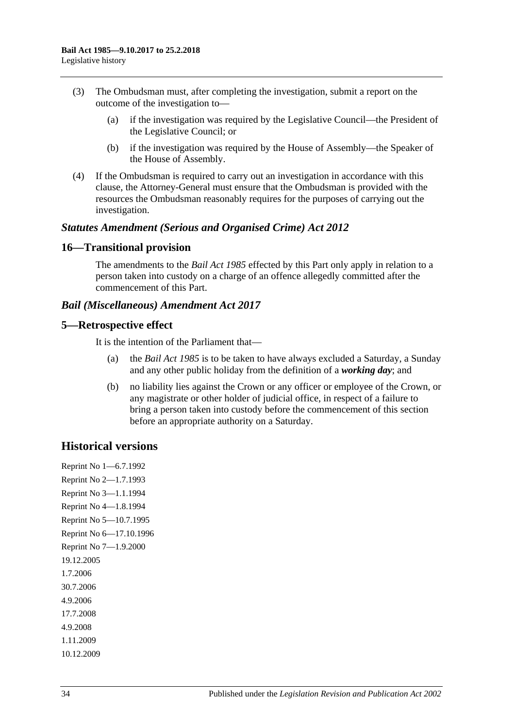- (3) The Ombudsman must, after completing the investigation, submit a report on the outcome of the investigation to—
	- (a) if the investigation was required by the Legislative Council—the President of the Legislative Council; or
	- (b) if the investigation was required by the House of Assembly—the Speaker of the House of Assembly.
- (4) If the Ombudsman is required to carry out an investigation in accordance with this clause, the Attorney-General must ensure that the Ombudsman is provided with the resources the Ombudsman reasonably requires for the purposes of carrying out the investigation.

#### *Statutes Amendment (Serious and Organised Crime) Act 2012*

### **16—Transitional provision**

The amendments to the *[Bail Act](http://www.legislation.sa.gov.au/index.aspx?action=legref&type=act&legtitle=Bail%20Act%201985) 1985* effected by this Part only apply in relation to a person taken into custody on a charge of an offence allegedly committed after the commencement of this Part.

### *Bail (Miscellaneous) Amendment Act 2017*

### **5—Retrospective effect**

It is the intention of the Parliament that—

- (a) the *[Bail Act](http://www.legislation.sa.gov.au/index.aspx?action=legref&type=act&legtitle=Bail%20Act%201985) 1985* is to be taken to have always excluded a Saturday, a Sunday and any other public holiday from the definition of a *working day*; and
- (b) no liability lies against the Crown or any officer or employee of the Crown, or any magistrate or other holder of judicial office, in respect of a failure to bring a person taken into custody before the commencement of this section before an appropriate authority on a Saturday.

# **Historical versions**

Reprint No 1—6.7.1992 Reprint No 2—1.7.1993 Reprint No 3—1.1.1994 Reprint No 4—1.8.1994 Reprint No 5—10.7.1995 Reprint No 6—17.10.1996 Reprint No 7—1.9.2000 19.12.2005 1.7.2006 30.7.2006 4.9.2006 17.7.2008 4.9.2008 1.11.2009 10.12.2009